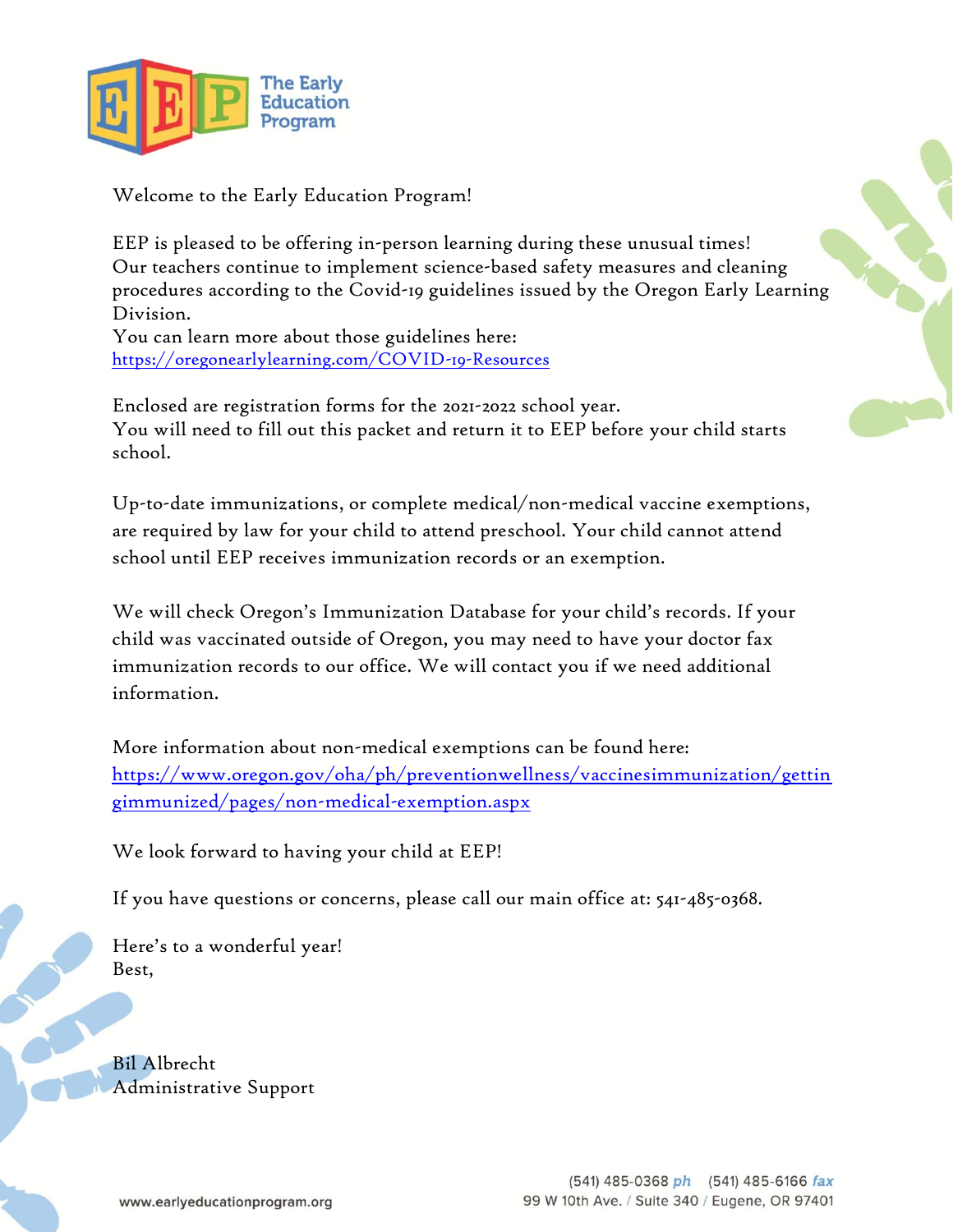

Welcome to the Early Education Program!

EEP is pleased to be offering in-person learning during these unusual times! Our teachers continue to implement science-based safety measures and cleaning procedures according to the Covid-19 guidelines issued by the Oregon Early Learning Division.

You can learn more about those guidelines here: <https://oregonearlylearning.com/COVID-19-Resources>

Enclosed are registration forms for the 2021-2022 school year. You will need to fill out this packet and return it to EEP before your child starts school.

Up-to-date immunizations, or complete medical/non-medical vaccine exemptions, are required by law for your child to attend preschool. Your child cannot attend school until EEP receives immunization records or an exemption.

We will check Oregon's Immunization Database for your child's records. If your child was vaccinated outside of Oregon, you may need to have your doctor fax immunization records to our office. We will contact you if we need additional information.

More information about non-medical exemptions can be found here: [https://www.oregon.gov/oha/ph/preventionwellness/vaccinesimmunization/gettin](https://www.oregon.gov/oha/ph/preventionwellness/vaccinesimmunization/gettingimmunized/pages/non-medical-exemption.aspx) [gimmunized/pages/non-medical-exemption.aspx](https://www.oregon.gov/oha/ph/preventionwellness/vaccinesimmunization/gettingimmunized/pages/non-medical-exemption.aspx)

We look forward to having your child at EEP!

If you have questions or concerns, please call our main office at: 541-485-0368.

Here's to a wonderful year! Best,

Bil Albrecht Administrative Support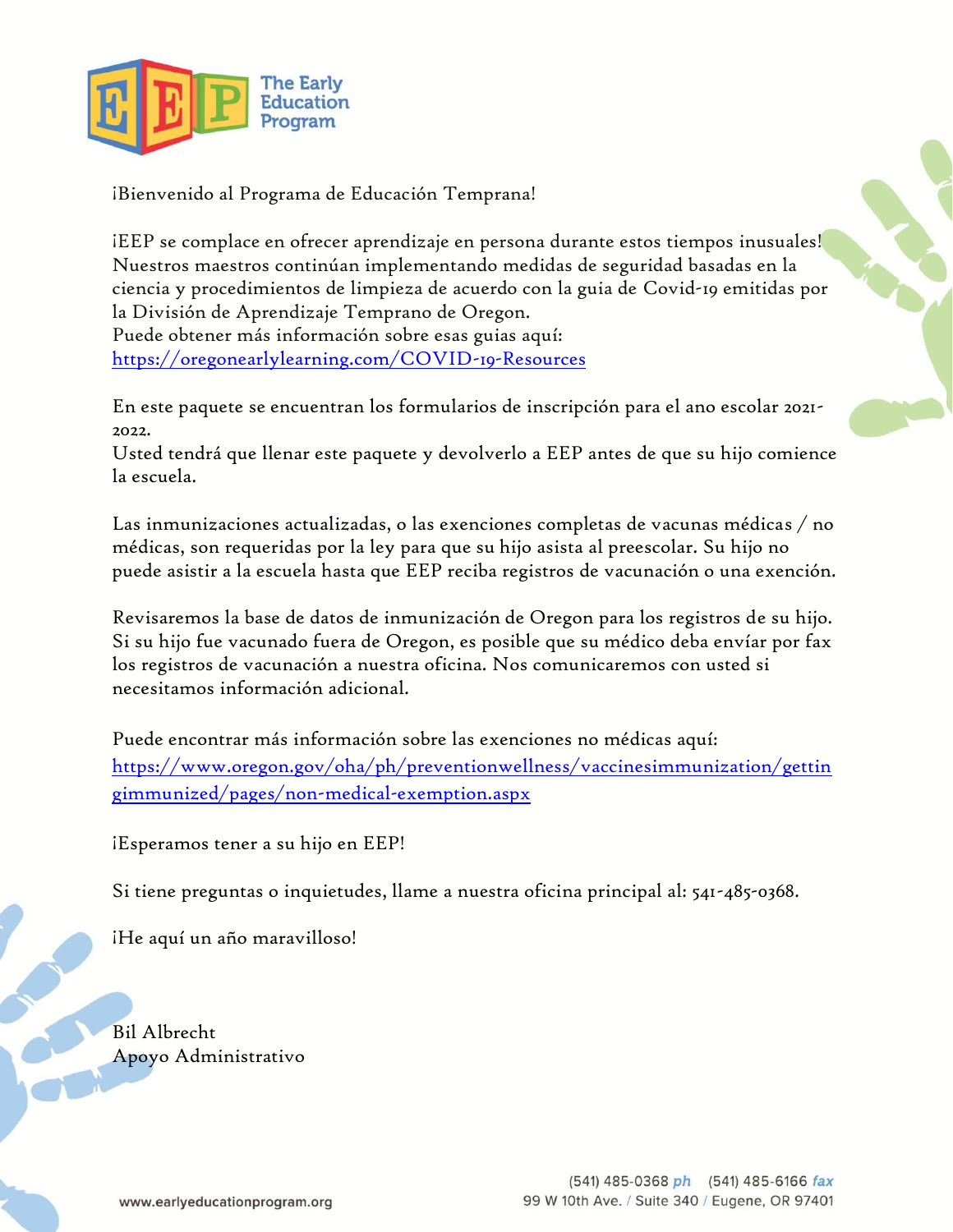

¡Bienvenido al Programa de Educación Temprana!

¡EEP se complace en ofrecer aprendizaje en persona durante estos tiempos inusuales! Nuestros maestros continúan implementando medidas de seguridad basadas en la ciencia y procedimientos de limpieza de acuerdo con la guia de Covid-19 emitidas por la División de Aprendizaje Temprano de Oregon.

Puede obtener más información sobre esas guias aquí: <https://oregonearlylearning.com/COVID-19-Resources>

En este paquete se encuentran los formularios de inscripción para el ano escolar 2021- 2022.

Usted tendrá que llenar este paquete y devolverlo a EEP antes de que su hijo comience la escuela.

Las inmunizaciones actualizadas, o las exenciones completas de vacunas médicas / no médicas, son requeridas por la ley para que su hijo asista al preescolar. Su hijo no puede asistir a la escuela hasta que EEP reciba registros de vacunación o una exención.

Revisaremos la base de datos de inmunización de Oregon para los registros de su hijo. Si su hijo fue vacunado fuera de Oregon, es posible que su médico deba envíar por fax los registros de vacunación a nuestra oficina. Nos comunicaremos con usted si necesitamos información adicional.

Puede encontrar más información sobre las exenciones no médicas aquí: [https://www.oregon.gov/oha/ph/preventionwellness/vaccinesimmunization/gettin](https://www.oregon.gov/oha/ph/preventionwellness/vaccinesimmunization/gettingimmunized/pages/non-medical-exemption.aspx) [gimmunized/pages/non-medical-exemption.aspx](https://www.oregon.gov/oha/ph/preventionwellness/vaccinesimmunization/gettingimmunized/pages/non-medical-exemption.aspx)

¡Esperamos tener a su hijo en EEP!

Si tiene preguntas o inquietudes, llame a nuestra oficina principal al: 541-485-0368.

¡He aquí un año maravilloso!

Bil Albrecht Apoyo Administrativo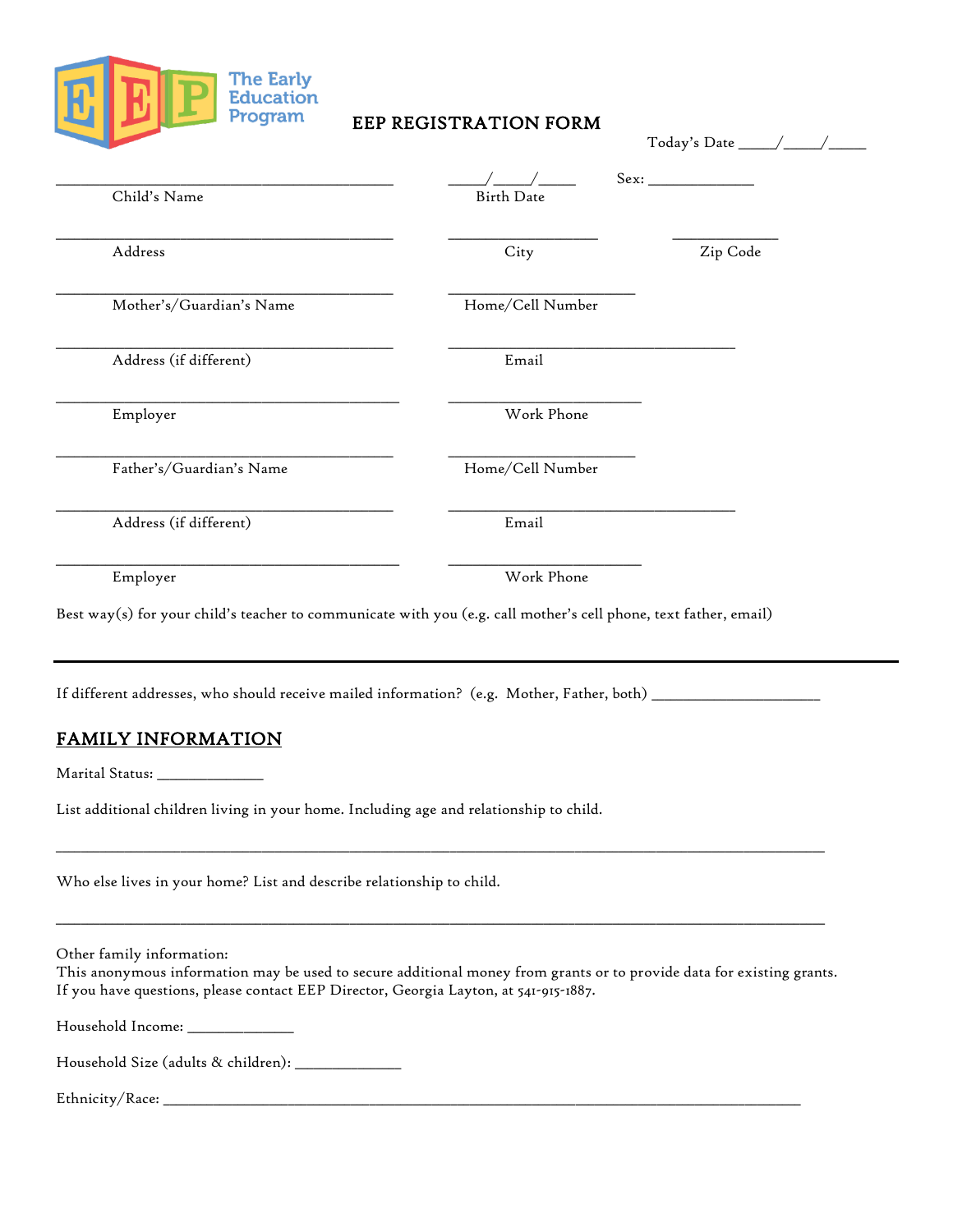

#### EEP REGISTRATION FORM

| Child's Name             | <b>Birth Date</b> | Sex:     |
|--------------------------|-------------------|----------|
| Address                  | City              | Zip Code |
| Mother's/Guardian's Name | Home/Cell Number  |          |
| Address (if different)   | Email             |          |
| Employer                 | Work Phone        |          |
| Father's/Guardian's Name | Home/Cell Number  |          |
| Address (if different)   | Email             |          |
| Employer                 | Work Phone        |          |

If different addresses, who should receive mailed information? (e.g. Mother, Father, both) \_\_\_\_\_\_\_\_\_\_\_\_\_\_\_\_\_\_\_

 $\_$  ,  $\_$  ,  $\_$  ,  $\_$  ,  $\_$  ,  $\_$  ,  $\_$  ,  $\_$  ,  $\_$  ,  $\_$  ,  $\_$  ,  $\_$  ,  $\_$  ,  $\_$  ,  $\_$  ,  $\_$  ,  $\_$  ,  $\_$  ,  $\_$  ,  $\_$  ,  $\_$  ,  $\_$  ,  $\_$  ,  $\_$  ,  $\_$  ,  $\_$  ,  $\_$  ,  $\_$  ,  $\_$  ,  $\_$  ,  $\_$  ,  $\_$  ,  $\_$  ,  $\_$  ,  $\_$  ,  $\_$  ,  $\_$  ,

 $\_$  , and the state of the state of the state of the state of the state of the state of the state of the state of the state of the state of the state of the state of the state of the state of the state of the state of the

## FAMILY INFORMATION

Marital Status: \_\_\_\_\_\_\_\_\_\_\_\_\_\_\_\_\_

List additional children living in your home. Including age and relationship to child.

Who else lives in your home? List and describe relationship to child.

Other family information:

This anonymous information may be used to secure additional money from grants or to provide data for existing grants. If you have questions, please contact EEP Director, Georgia Layton, at 541-915-1887.

Household Income: \_\_\_\_\_\_\_\_\_\_\_\_\_\_\_\_\_

Household Size (adults & children): \_\_\_\_\_\_\_\_\_\_\_\_\_\_\_\_\_

Ethnicity/Race: \_\_\_\_\_\_\_\_\_\_\_\_\_\_\_\_\_\_\_\_\_\_\_\_\_\_\_\_\_\_\_\_\_\_\_\_\_\_\_\_\_\_\_\_\_\_\_\_\_\_\_\_\_\_\_\_\_\_\_\_\_\_\_\_\_\_\_\_\_\_\_\_\_\_\_\_\_\_\_\_\_\_\_\_\_\_\_\_\_\_\_\_\_\_\_\_\_\_\_\_\_\_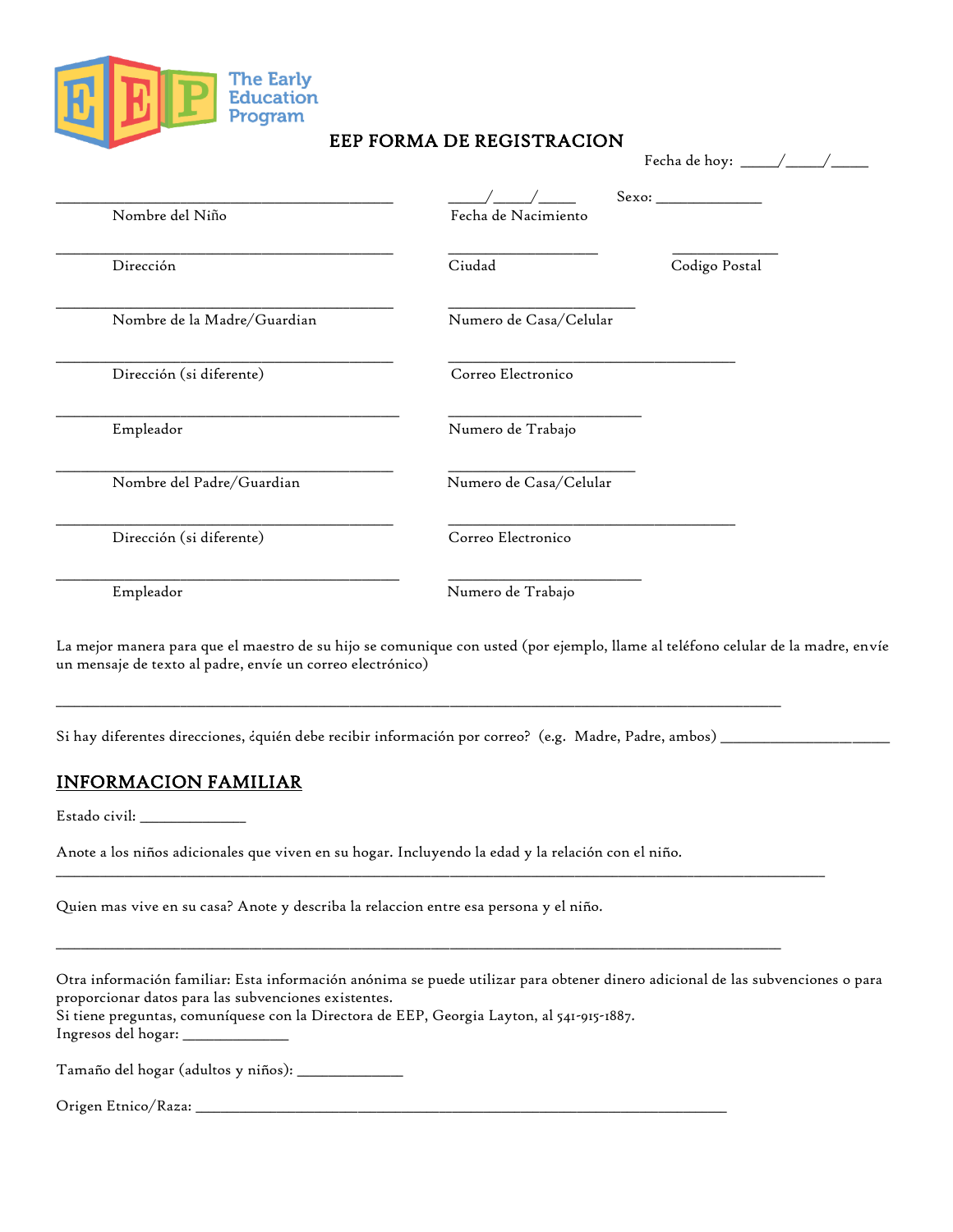

#### EEP FORMA DE REGISTRACION

|                             | Fecha de hoy: _                                                                                                                                                                                                                                                                                                                                                                                                                                                   |
|-----------------------------|-------------------------------------------------------------------------------------------------------------------------------------------------------------------------------------------------------------------------------------------------------------------------------------------------------------------------------------------------------------------------------------------------------------------------------------------------------------------|
| Nombre del Niño             | $\begin{minipage}{.4\linewidth} \textbf{Sexo:} \begin{tabular}{@{}c@{}} \textbf{0} & \textbf{0} & \textbf{0} & \textbf{0} \\ \textbf{0} & \textbf{0} & \textbf{0} & \textbf{0} \\ \textbf{0} & \textbf{0} & \textbf{0} & \textbf{0} \\ \textbf{0} & \textbf{0} & \textbf{0} & \textbf{0} \\ \textbf{0} & \textbf{0} & \textbf{0} & \textbf{0} \\ \textbf{0} & \textbf{0} & \textbf{0} & \textbf{0} \\ \textbf{0} & \textbf{0} & \textbf{0$<br>Fecha de Nacimiento |
| Dirección                   | Ciudad<br>Codigo Postal                                                                                                                                                                                                                                                                                                                                                                                                                                           |
| Nombre de la Madre/Guardian | Numero de Casa/Celular                                                                                                                                                                                                                                                                                                                                                                                                                                            |
| Dirección (si diferente)    | Correo Electronico                                                                                                                                                                                                                                                                                                                                                                                                                                                |
| Empleador                   | Numero de Trabajo                                                                                                                                                                                                                                                                                                                                                                                                                                                 |
| Nombre del Padre/Guardian   | Numero de Casa/Celular                                                                                                                                                                                                                                                                                                                                                                                                                                            |
| Dirección (si diferente)    | Correo Electronico                                                                                                                                                                                                                                                                                                                                                                                                                                                |
| Empleador                   | Numero de Trabajo                                                                                                                                                                                                                                                                                                                                                                                                                                                 |

La mejor manera para que el maestro de su hijo se comunique con usted (por ejemplo, llame al teléfono celular de la madre, envíe un mensaje de texto al padre, envíe un correo electrónico)

Si hay diferentes direcciones, ¿quién debe recibir información por correo? (e.g. Madre, Padre, ambos) \_\_\_\_\_\_\_\_\_\_\_\_\_\_

 $\_$  ,  $\_$  ,  $\_$  ,  $\_$  ,  $\_$  ,  $\_$  ,  $\_$  ,  $\_$  ,  $\_$  ,  $\_$  ,  $\_$  ,  $\_$  ,  $\_$  ,  $\_$  ,  $\_$  ,  $\_$  ,  $\_$  ,  $\_$  ,  $\_$  ,  $\_$  ,  $\_$  ,  $\_$  ,  $\_$  ,  $\_$  ,  $\_$  ,  $\_$  ,  $\_$  ,  $\_$  ,  $\_$  ,  $\_$  ,  $\_$  ,  $\_$  ,  $\_$  ,  $\_$  ,  $\_$  ,  $\_$  ,  $\_$  ,

 $\Box$ 

 $\_$  ,  $\_$  ,  $\_$  ,  $\_$  ,  $\_$  ,  $\_$  ,  $\_$  ,  $\_$  ,  $\_$  ,  $\_$  ,  $\_$  ,  $\_$  ,  $\_$  ,  $\_$  ,  $\_$  ,  $\_$  ,  $\_$  ,  $\_$  ,  $\_$  ,  $\_$  ,  $\_$  ,  $\_$  ,  $\_$  ,  $\_$  ,  $\_$  ,  $\_$  ,  $\_$  ,  $\_$  ,  $\_$  ,  $\_$  ,  $\_$  ,  $\_$  ,  $\_$  ,  $\_$  ,  $\_$  ,  $\_$  ,  $\_$  ,

#### INFORMACION FAMILIAR

Estado civil: \_\_\_\_\_\_\_\_\_\_\_\_\_\_\_\_\_

Anote a los niños adicionales que viven en su hogar. Incluyendo la edad y la relación con el niño.

Quien mas vive en su casa? Anote y describa la relaccion entre esa persona y el niño.

Otra información familiar: Esta información anónima se puede utilizar para obtener dinero adicional de las subvenciones o para proporcionar datos para las subvenciones existentes. Si tiene preguntas, comuníquese con la Directora de EEP, Georgia Layton, al 541-915-1887. Ingresos del hogar: \_\_\_\_\_\_\_\_\_\_\_\_\_\_\_\_\_

Tamaño del hogar (adultos y niños): \_\_\_\_\_\_\_\_\_\_\_\_\_\_\_\_\_

Origen Etnico/Raza: \_\_\_\_\_\_\_\_\_\_\_\_\_\_\_\_\_\_\_\_\_\_\_\_\_\_\_\_\_\_\_\_\_\_\_\_\_\_\_\_\_\_\_\_\_\_\_\_\_\_\_\_\_\_\_\_\_\_\_\_\_\_\_\_\_\_\_\_\_\_\_\_\_\_\_\_\_\_\_\_\_\_\_\_\_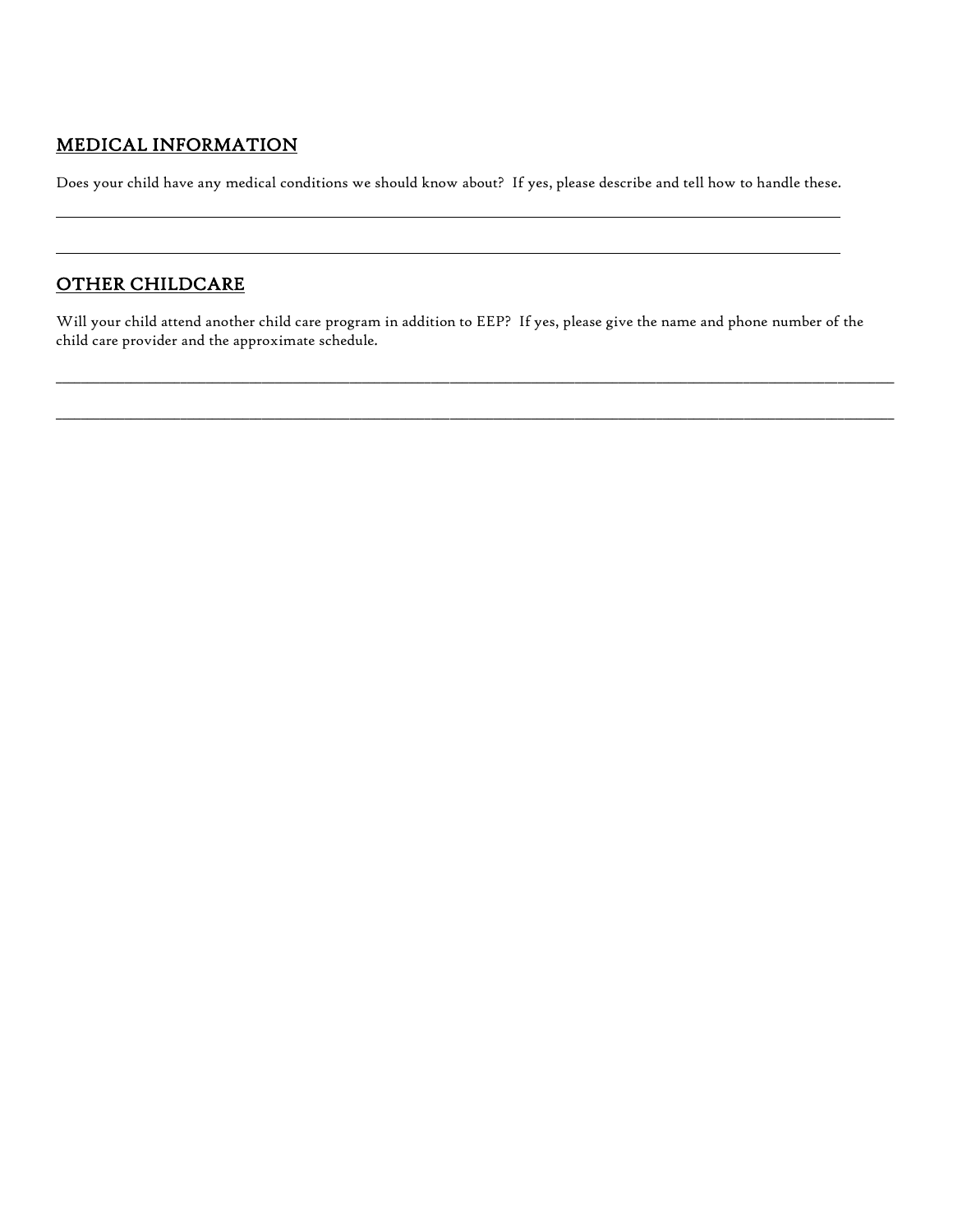### MEDICAL INFORMATION

Does your child have any medical conditions we should know about? If yes, please describe and tell how to handle these.

## OTHER CHILDCARE

Will your child attend another child care program in addition to EEP? If yes, please give the name and phone number of the child care provider and the approximate schedule.

 $\Box \rightarrow \Box \rightarrow \Box \rightarrow \Box$ 

 $\Box \rightarrow \Box \rightarrow \Box$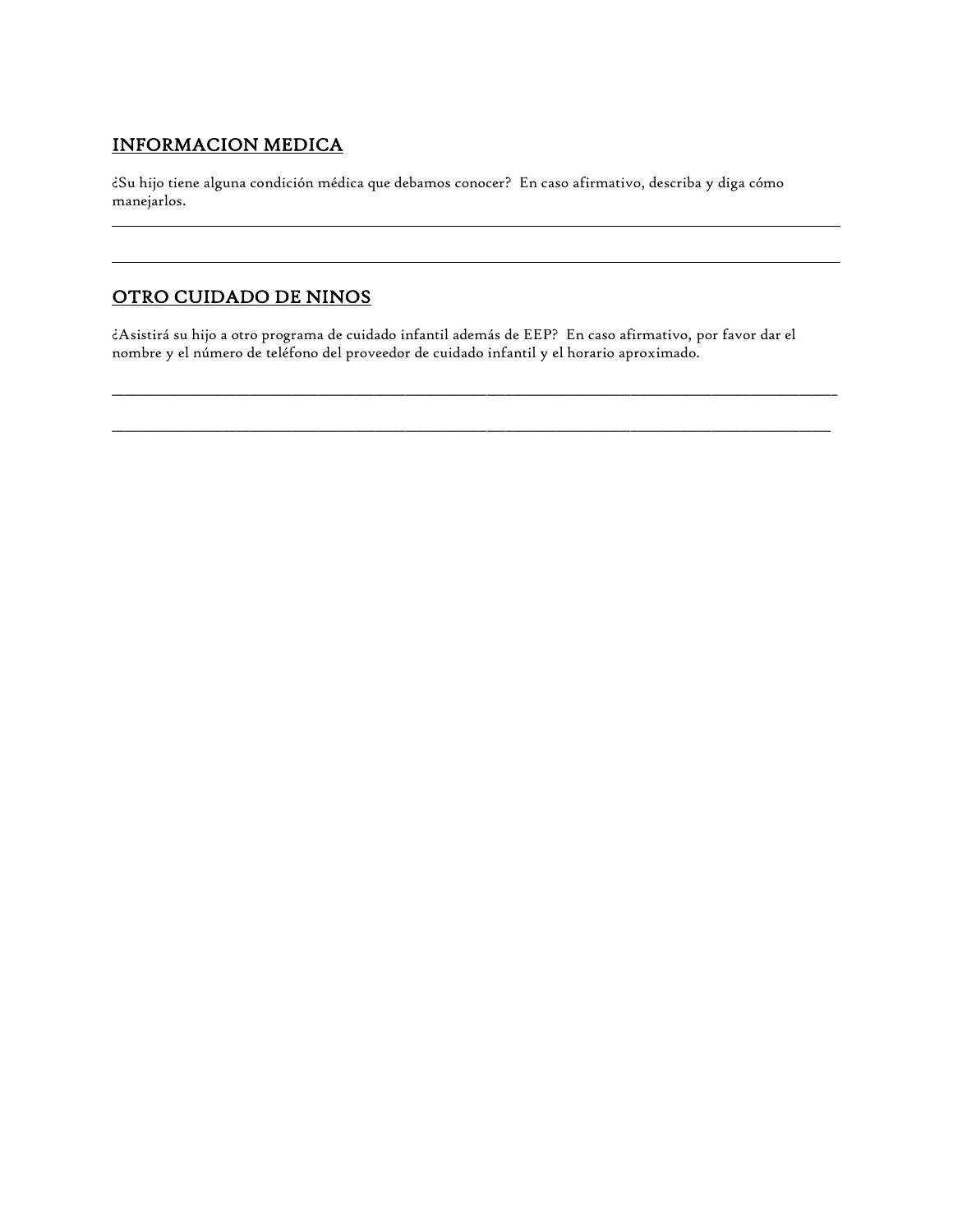### INFORMACION MEDICA

¿Su hijo tiene alguna condición médica que debamos conocer? En caso afirmativo, describa y diga cómo manejarlos.

### OTRO CUIDADO DE NINOS

¿Asistirá su hijo a otro programa de cuidado infantil además de EEP? En caso afirmativo, por favor dar el nombre y el número de teléfono del proveedor de cuidado infantil y el horario aproximado.

 $\_$  ,  $\_$  ,  $\_$  ,  $\_$  ,  $\_$  ,  $\_$  ,  $\_$  ,  $\_$  ,  $\_$  ,  $\_$  ,  $\_$  ,  $\_$  ,  $\_$  ,  $\_$  ,  $\_$  ,  $\_$  ,  $\_$  ,  $\_$  ,  $\_$  ,  $\_$  ,  $\_$  ,  $\_$  ,  $\_$  ,  $\_$  ,  $\_$  ,  $\_$  ,  $\_$  ,  $\_$  ,  $\_$  ,  $\_$  ,  $\_$  ,  $\_$  ,  $\_$  ,  $\_$  ,  $\_$  ,  $\_$  ,  $\_$  ,

 $\_$  ,  $\_$  ,  $\_$  ,  $\_$  ,  $\_$  ,  $\_$  ,  $\_$  ,  $\_$  ,  $\_$  ,  $\_$  ,  $\_$  ,  $\_$  ,  $\_$  ,  $\_$  ,  $\_$  ,  $\_$  ,  $\_$  ,  $\_$  ,  $\_$  ,  $\_$  ,  $\_$  ,  $\_$  ,  $\_$  ,  $\_$  ,  $\_$  ,  $\_$  ,  $\_$  ,  $\_$  ,  $\_$  ,  $\_$  ,  $\_$  ,  $\_$  ,  $\_$  ,  $\_$  ,  $\_$  ,  $\_$  ,  $\_$  ,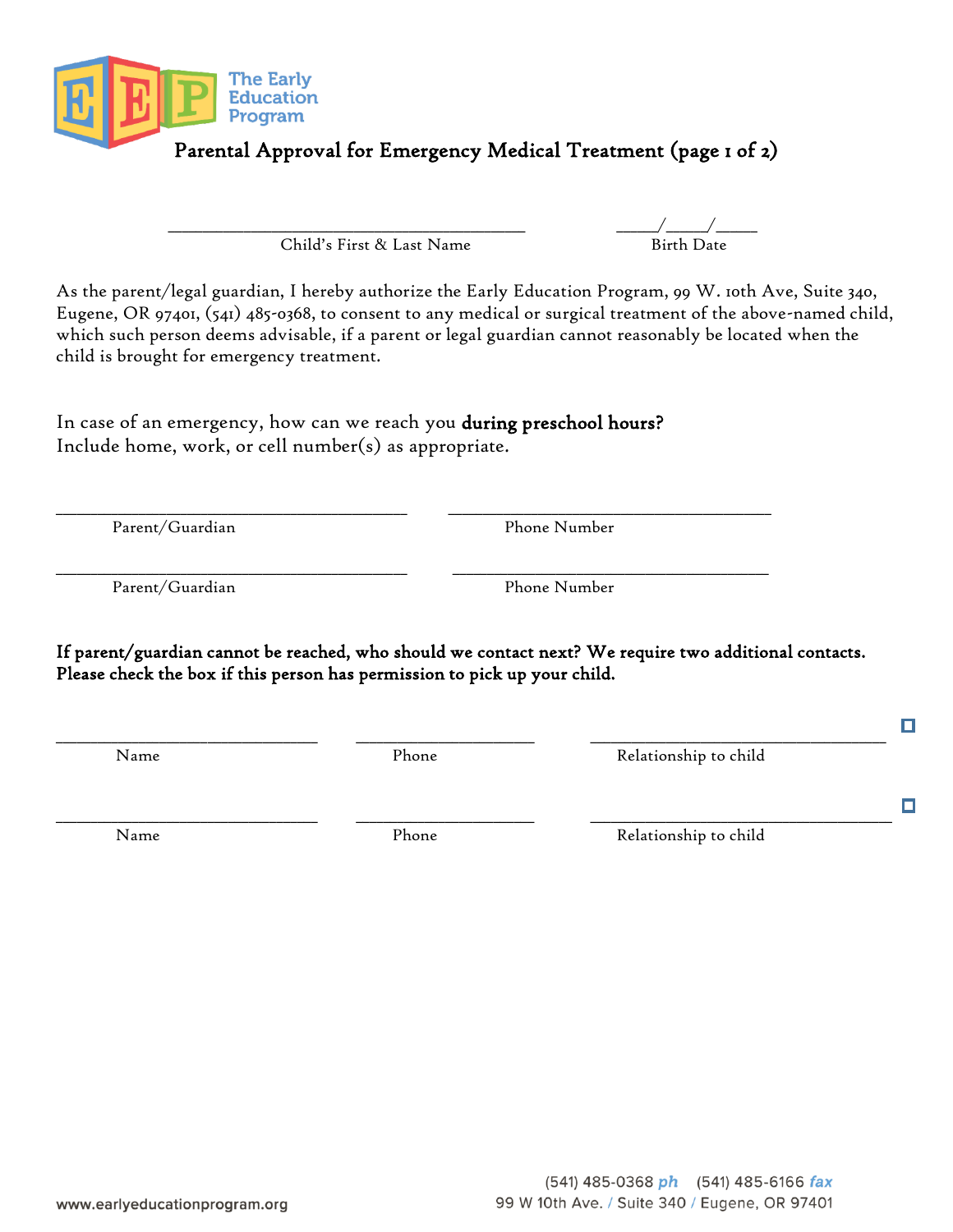

Child's First & Last Name

\_\_\_\_\_\_\_\_\_\_\_\_\_\_\_\_\_\_\_\_\_\_\_\_\_\_\_\_\_\_\_\_\_\_\_\_\_\_\_\_\_\_\_\_\_\_\_\_\_\_\_\_ \_\_\_\_\_\_/\_\_\_\_\_\_/\_\_\_\_\_\_

As the parent/legal guardian, I hereby authorize the Early Education Program, 99 W. 10th Ave, Suite 340, Eugene, OR 97401, (541) 485-0368, to consent to any medical or surgical treatment of the above-named child, which such person deems advisable, if a parent or legal guardian cannot reasonably be located when the child is brought for emergency treatment.

In case of an emergency, how can we reach you during preschool hours? Include home, work, or cell number(s) as appropriate.

\_\_\_\_\_\_\_\_\_\_\_\_\_\_\_\_\_\_\_\_\_\_\_\_\_\_\_\_\_\_\_\_\_\_\_\_\_\_\_\_\_\_\_\_\_\_\_\_\_\_\_ \_\_\_\_\_\_\_\_\_\_\_\_\_\_\_\_\_\_\_\_\_\_\_\_\_\_\_\_\_\_\_\_\_\_\_\_\_\_\_\_\_\_\_\_\_\_\_ Parent/Guardian Phone Number

Parent/Guardian Phone Number

If parent/guardian cannot be reached, who should we contact next? We require two additional contacts. Please check the box if this person has permission to pick up your child.

\_\_\_\_\_\_\_\_\_\_\_\_\_\_\_\_\_\_\_\_\_\_\_\_\_\_\_\_\_\_\_\_\_\_\_\_\_\_ \_\_\_\_\_\_\_\_\_\_\_\_\_\_\_\_\_\_\_\_\_\_\_\_\_\_ \_\_\_\_\_\_\_\_\_\_\_\_\_\_\_\_\_\_\_\_\_\_\_\_\_\_\_\_\_\_\_\_\_\_\_\_\_\_\_\_\_\_\_\_

\_\_\_\_\_\_\_\_\_\_\_\_\_\_\_\_\_\_\_\_\_\_\_\_\_\_\_\_\_\_\_\_\_\_\_\_\_\_ \_\_\_\_\_\_\_\_\_\_\_\_\_\_\_\_\_\_\_\_\_\_\_\_\_\_ \_\_\_\_\_\_\_\_\_\_\_\_\_\_\_\_\_\_\_\_\_\_\_\_\_\_\_\_\_\_\_\_\_\_\_\_\_\_\_\_\_\_\_

\_\_\_\_\_\_\_\_\_\_\_\_\_\_\_\_\_\_\_\_\_\_\_\_\_\_\_\_\_\_\_\_\_\_\_\_\_\_\_\_\_\_\_\_\_\_\_\_\_\_\_ \_\_\_\_\_\_\_\_\_\_\_\_\_\_\_\_\_\_\_\_\_\_\_\_\_\_\_\_\_\_\_\_\_\_\_\_\_\_\_\_\_\_\_\_\_\_

Name Phone Relationship to child

 $\Box$ 

о

Name Phone Relationship to child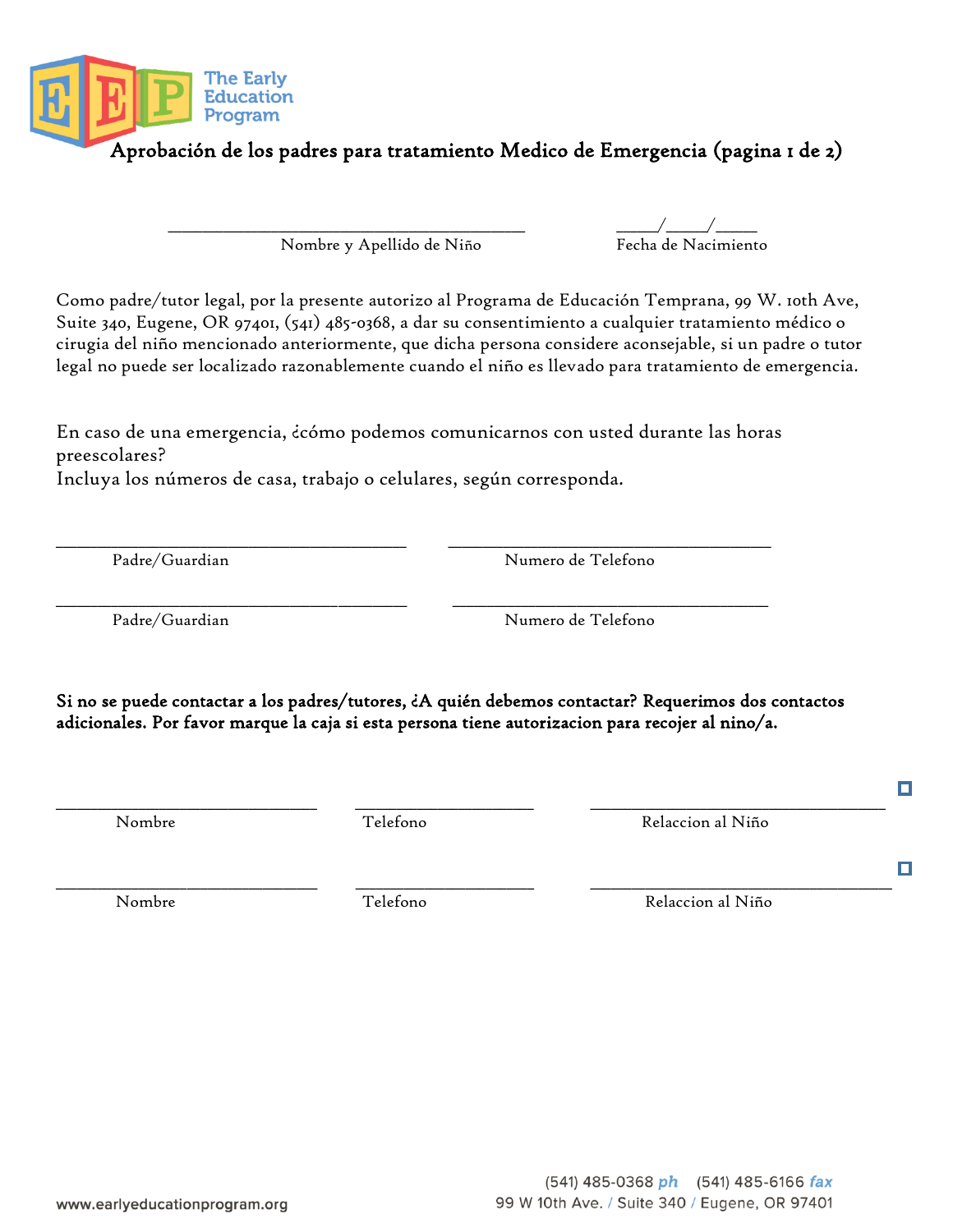Nombre y Apellido de Niño Fecha de Nacimiento

Como padre/tutor legal, por la presente autorizo al Programa de Educación Temprana, 99 W. 10th Ave, Suite 340, Eugene, OR 97401, (541) 485-0368, a dar su consentimiento a cualquier tratamiento médico o cirugia del niño mencionado anteriormente, que dicha persona considere aconsejable, si un padre o tutor legal no puede ser localizado razonablemente cuando el niño es llevado para tratamiento de emergencia.

En caso de una emergencia, ¿cómo podemos comunicarnos con usted durante las horas preescolares?

\_\_\_\_\_\_\_\_\_\_\_\_\_\_\_\_\_\_\_\_\_\_\_\_\_\_\_\_\_\_\_\_\_\_\_\_\_\_\_\_\_\_\_\_\_\_\_\_\_\_\_ \_\_\_\_\_\_\_\_\_\_\_\_\_\_\_\_\_\_\_\_\_\_\_\_\_\_\_\_\_\_\_\_\_\_\_\_\_\_\_\_\_\_\_\_\_\_

Incluya los números de casa, trabajo o celulares, según corresponda.

Padre/Guardian Numero de Telefono

Si no se puede contactar a los padres/tutores, ¿A quién debemos contactar? Requerimos dos contactos adicionales. Por favor marque la caja si esta persona tiene autorizacion para recojer al nino/a.

\_\_\_\_\_\_\_\_\_\_\_\_\_\_\_\_\_\_\_\_\_\_\_\_\_\_\_\_\_\_\_\_\_\_\_\_\_\_ \_\_\_\_\_\_\_\_\_\_\_\_\_\_\_\_\_\_\_\_\_\_\_\_\_\_ \_\_\_\_\_\_\_\_\_\_\_\_\_\_\_\_\_\_\_\_\_\_\_\_\_\_\_\_\_\_\_\_\_\_\_\_\_\_\_\_\_\_\_

Nombre Telefono Relaccion al Niño

www.earlyeducationprogram.org

\_\_\_\_\_\_\_\_\_\_\_\_\_\_\_\_\_\_\_\_\_\_\_\_\_\_\_\_\_\_\_\_\_\_\_\_\_\_ \_\_\_\_\_\_\_\_\_\_\_\_\_\_\_\_\_\_\_\_\_\_\_\_\_\_ \_\_\_\_\_\_\_\_\_\_\_\_\_\_\_\_\_\_\_\_\_\_\_\_\_\_\_\_\_\_\_\_\_\_\_\_\_\_\_\_\_\_\_\_

Nombre Telefono Relaccion al Niño

\_\_\_\_\_\_\_\_\_\_\_\_\_\_\_\_\_\_\_\_\_\_\_\_\_\_\_\_\_\_\_\_\_\_\_\_\_\_\_\_\_\_\_\_\_\_\_\_\_\_\_ \_\_\_\_\_\_\_\_\_\_\_\_\_\_\_\_\_\_\_\_\_\_\_\_\_\_\_\_\_\_\_\_\_\_\_\_\_\_\_\_\_\_\_\_\_\_\_ Padre/Guardian Numero de Telefono





 $\Box$ 

П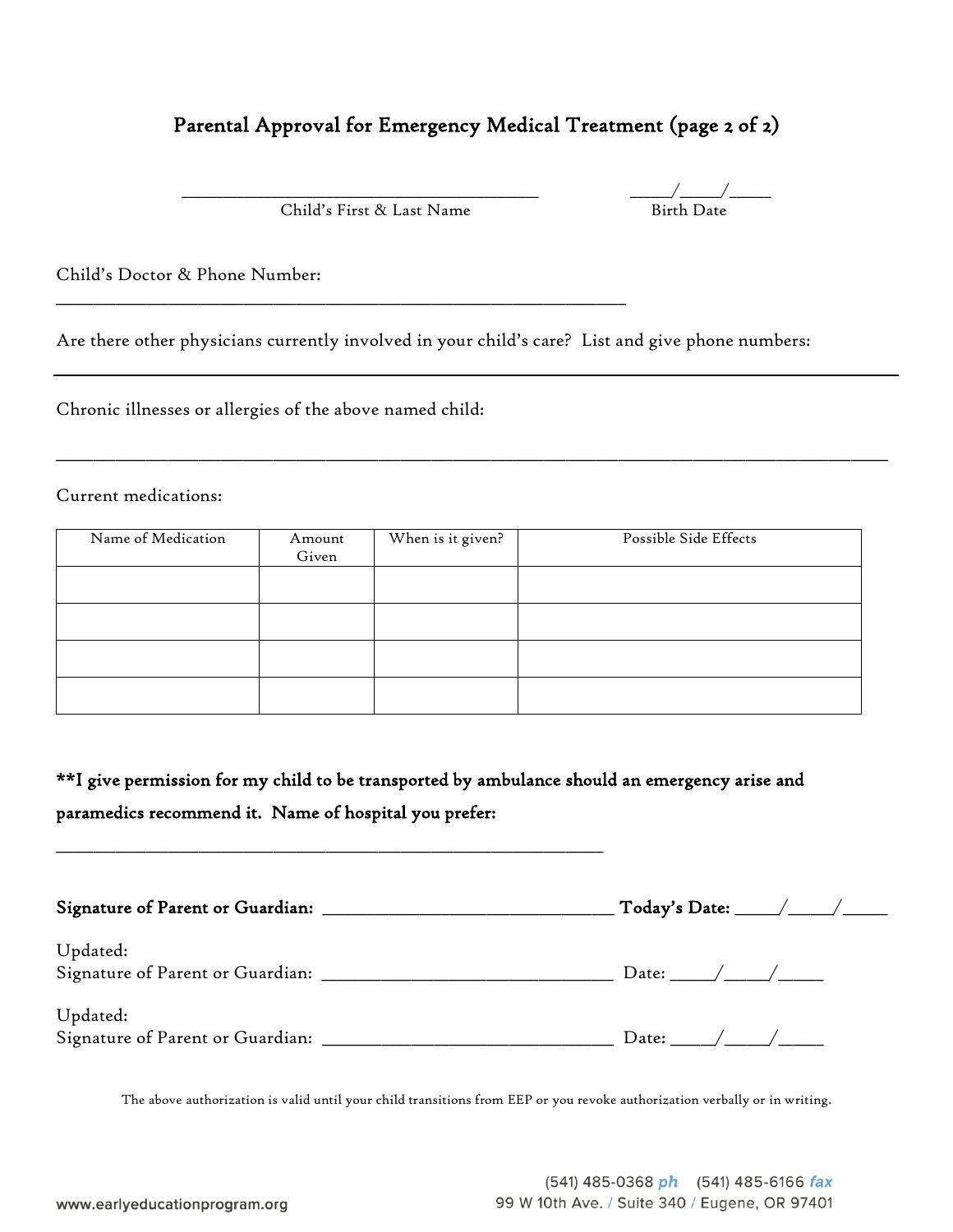## Parental Approval for Emergency Medical Treatment (page 2 of 2)

Child's First & Last Name

\_\_\_\_\_\_\_\_\_\_\_\_\_\_\_\_\_\_\_\_\_\_\_\_\_\_\_\_\_\_\_\_\_\_\_\_\_\_\_\_\_\_\_\_\_\_\_\_\_\_\_\_\_\_\_\_\_\_\_\_\_\_\_\_\_\_\_\_\_\_\_\_\_\_\_\_

 $\frac{1}{\text{Birth Date}}$ 

Child's Doctor & Phone Number:

Are there other physicians currently involved in your child's care? List and give phone numbers:

Chronic illnesses or allergies of the above named child:

Current medications:

| Name of Medication | Amount<br>Given | When is it given? | Possible Side Effects |
|--------------------|-----------------|-------------------|-----------------------|
|                    |                 |                   |                       |
|                    |                 |                   |                       |
|                    |                 |                   |                       |
|                    |                 |                   |                       |

\_\_\_\_\_\_\_\_\_\_\_\_\_\_\_\_\_\_\_\_\_\_\_\_\_\_\_\_\_\_\_\_\_\_\_\_\_\_\_\_\_\_\_\_\_\_\_\_\_\_\_\_\_\_\_\_\_\_\_\_\_\_\_\_\_\_\_\_\_\_\_\_\_\_\_\_\_\_\_\_\_\_\_\_\_\_\_\_\_\_\_\_\_\_\_\_\_\_\_\_\_\_\_\_\_\_\_\_\_\_\_

\*\*I give permission for my child to be transported by ambulance should an emergency arise and paramedics recommend it. Name of hospital you prefer:

\_\_\_\_\_\_\_\_\_\_\_\_\_\_\_\_\_\_\_\_\_\_\_\_\_\_\_\_\_\_\_\_\_\_\_\_\_\_\_\_\_\_\_\_\_\_\_\_\_\_\_\_\_\_\_\_\_\_\_\_\_\_\_\_\_\_\_\_\_\_\_\_\_

| Signature of Parent or Guardian:             |                    |
|----------------------------------------------|--------------------|
| Updated:<br>Signature of Parent or Guardian: | Date: $\angle$ / / |
| Updated:<br>Signature of Parent or Guardian: |                    |

The above authorization is valid until your child transitions from EEP or you revoke authorization verbally or in writing.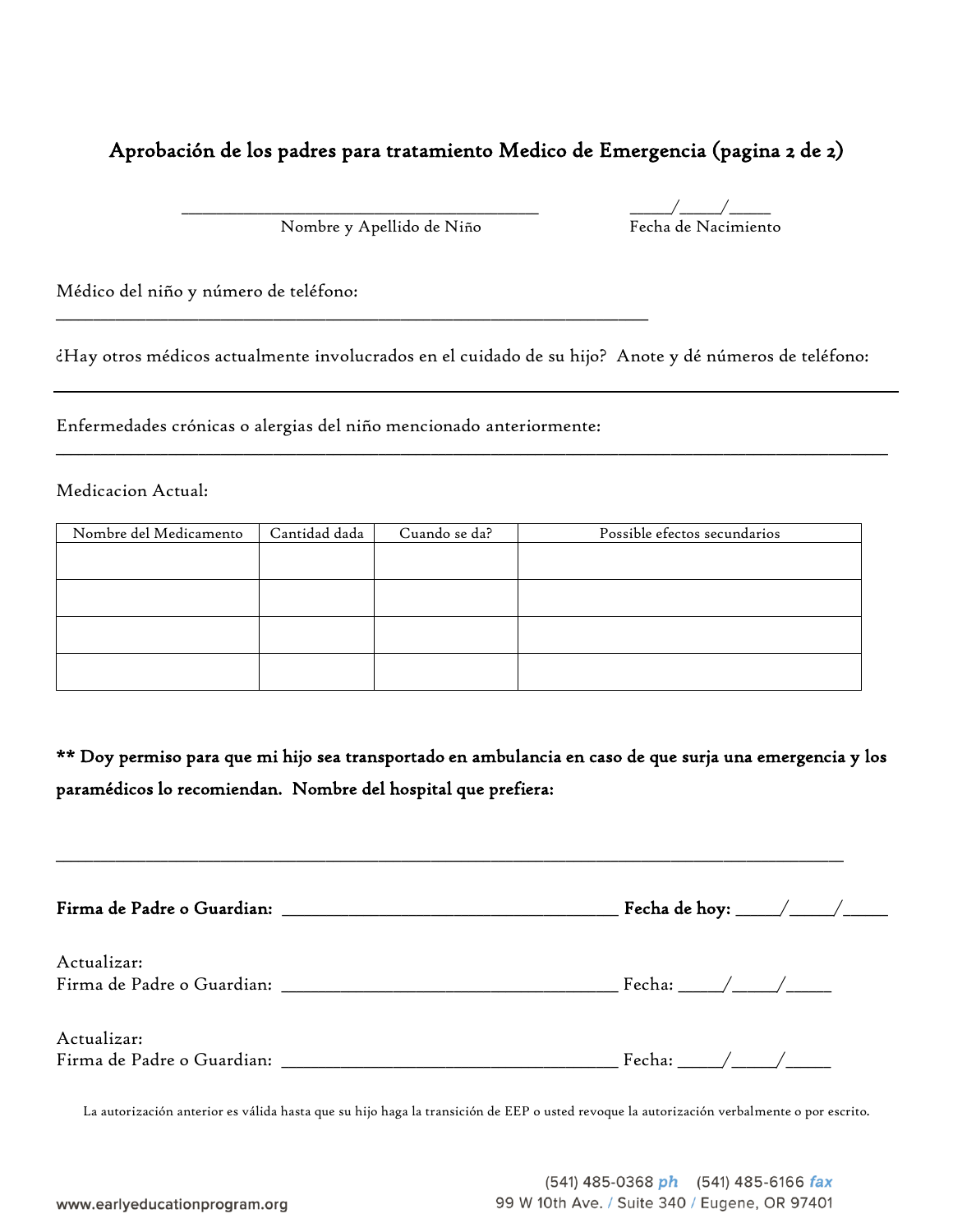### Aprobación de los padres para tratamiento Medico de Emergencia (pagina 2 de 2)

Nombre y Apellido de Niño

\_\_\_\_\_\_\_\_\_\_\_\_\_\_\_\_\_\_\_\_\_\_\_\_\_\_\_\_\_\_\_\_\_\_\_\_\_\_\_\_\_\_\_\_\_\_\_\_\_\_\_\_\_\_\_\_\_\_\_\_\_\_\_\_\_\_\_\_\_\_\_\_\_\_\_\_\_\_\_

 $\frac{1}{\sqrt{\frac{1}{2\pi}}}$ Fecha de Nacimiento

Médico del niño y número de teléfono:

¿Hay otros médicos actualmente involucrados en el cuidado de su hijo? Anote y dé números de teléfono:

\_\_\_\_\_\_\_\_\_\_\_\_\_\_\_\_\_\_\_\_\_\_\_\_\_\_\_\_\_\_\_\_\_\_\_\_\_\_\_\_\_\_\_\_\_\_\_\_\_\_\_\_\_\_\_\_\_\_\_\_\_\_\_\_\_\_\_\_\_\_\_\_\_\_\_\_\_\_\_\_\_\_\_\_\_\_\_\_\_\_\_\_\_\_\_\_\_\_\_\_\_\_\_\_\_\_\_\_\_\_\_

Enfermedades crónicas o alergias del niño mencionado anteriormente:

Medicacion Actual:

| Nombre del Medicamento | Cantidad dada | Cuando se da? | Possible efectos secundarios |
|------------------------|---------------|---------------|------------------------------|
|                        |               |               |                              |
|                        |               |               |                              |
|                        |               |               |                              |
|                        |               |               |                              |
|                        |               |               |                              |
|                        |               |               |                              |
|                        |               |               |                              |
|                        |               |               |                              |

\*\* Doy permiso para que mi hijo sea transportado en ambulancia en caso de que surja una emergencia y los paramédicos lo recomiendan. Nombre del hospital que prefiera:

\_\_\_\_\_\_\_\_\_\_\_\_\_\_\_\_\_\_\_\_\_\_\_\_\_\_\_\_\_\_\_\_\_\_\_\_\_\_\_\_\_\_\_\_\_\_\_\_\_\_\_\_\_\_\_\_\_\_\_\_\_\_\_\_\_\_\_\_\_\_\_\_\_\_\_\_\_\_\_\_\_\_\_\_\_\_\_\_\_\_\_\_\_\_\_\_\_\_\_\_\_\_\_\_\_

| Actualizar: |                            |
|-------------|----------------------------|
| Actualizar: | Fecha: $\angle$ / $\angle$ |

La autorización anterior es válida hasta que su hijo haga la transición de EEP o usted revoque la autorización verbalmente o por escrito.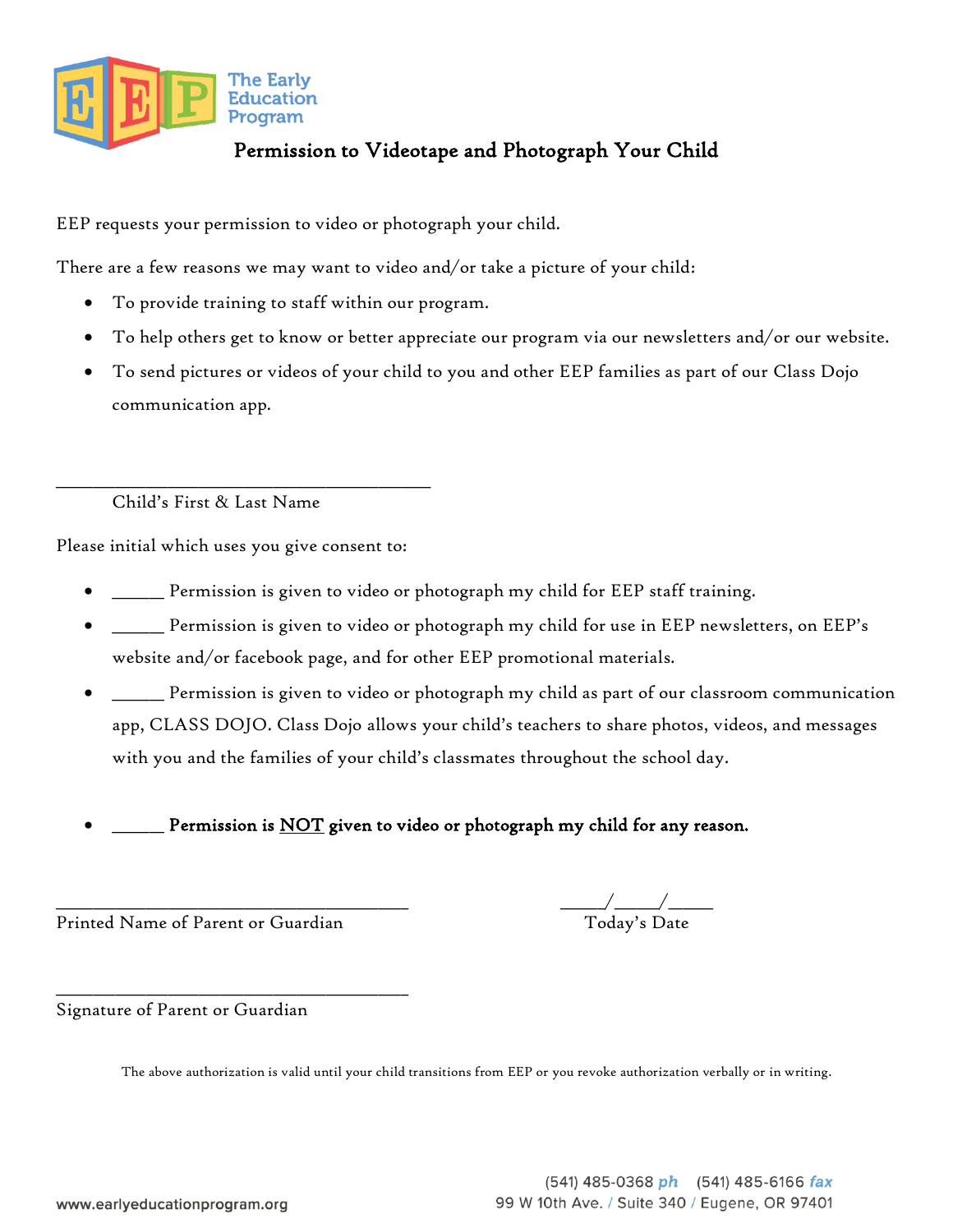

## Permission to Videotape and Photograph Your Child

EEP requests your permission to video or photograph your child.

There are a few reasons we may want to video and/or take a picture of your child:

- To provide training to staff within our program.
- To help others get to know or better appreciate our program via our newsletters and/or our website.
- To send pictures or videos of your child to you and other EEP families as part of our Class Dojo communication app.

\_\_\_\_\_\_\_\_\_\_\_\_\_\_\_\_\_\_\_\_\_\_\_\_\_\_\_\_\_\_\_\_\_\_\_\_\_\_\_\_\_\_\_\_\_\_\_\_\_\_ Child's First & Last Name

Please initial which uses you give consent to:

- \_\_\_\_\_\_\_ Permission is given to video or photograph my child for EEP staff training.
- \_\_\_\_\_\_\_ Permission is given to video or photograph my child for use in EEP newsletters, on EEP's website and/or facebook page, and for other EEP promotional materials.
- \_\_\_\_\_\_\_ Permission is given to video or photograph my child as part of our classroom communication app, CLASS DOJO. Class Dojo allows your child's teachers to share photos, videos, and messages with you and the families of your child's classmates throughout the school day.
- Permission is NOT given to video or photograph my child for any reason.

Printed Name of Parent or Guardian

\_\_\_\_\_\_\_\_\_\_\_\_\_\_\_\_\_\_\_\_\_\_\_\_\_\_\_\_\_\_\_\_\_\_\_\_\_\_\_\_\_\_\_\_\_\_\_

 $\frac{1}{2\pi\Delta}$  Today's Date

Signature of Parent or Guardian

The above authorization is valid until your child transitions from EEP or you revoke authorization verbally or in writing.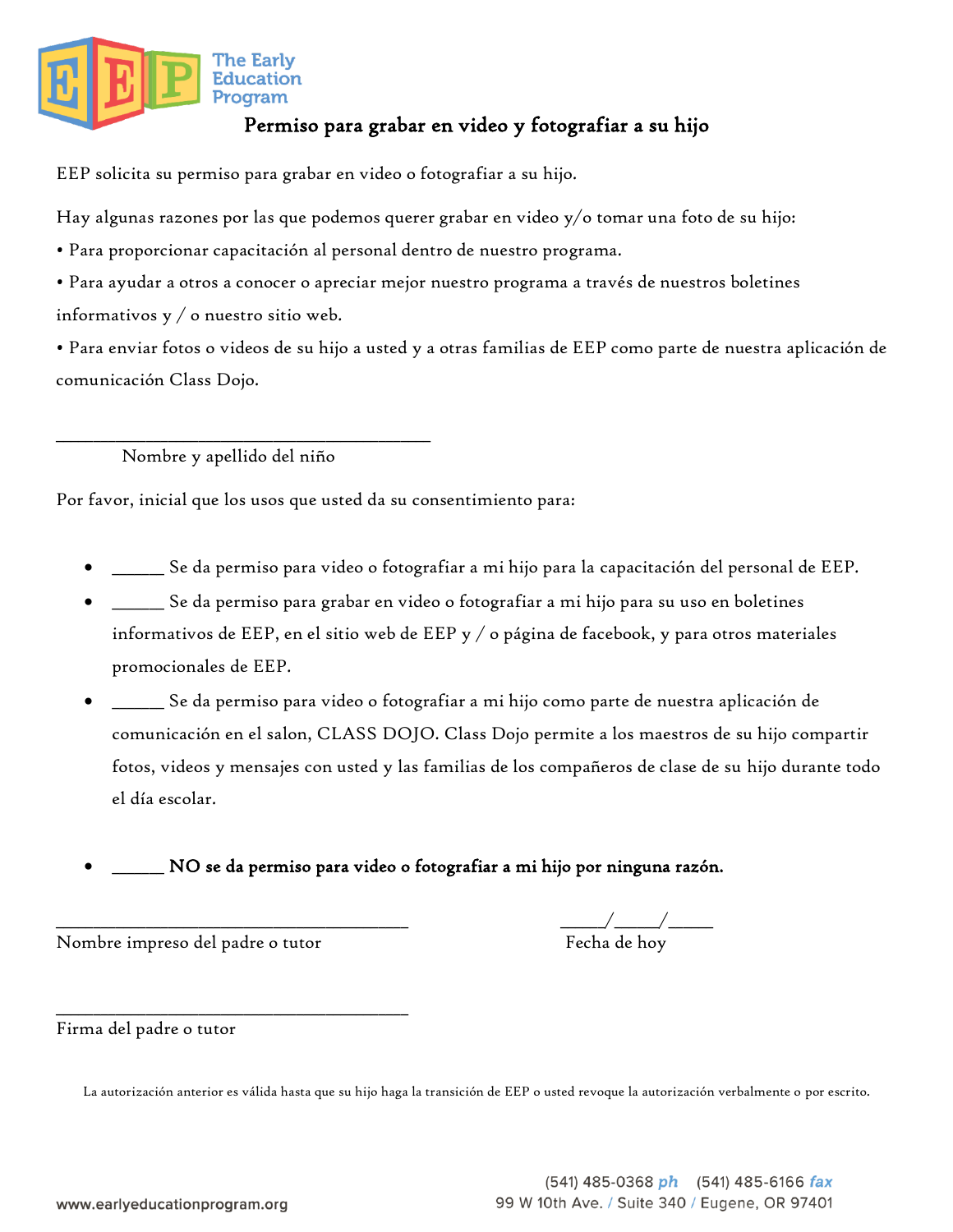

# Permiso para grabar en video y fotografiar a su hijo

EEP solicita su permiso para grabar en video o fotografiar a su hijo.

Hay algunas razones por las que podemos querer grabar en video y/o tomar una foto de su hijo:

• Para proporcionar capacitación al personal dentro de nuestro programa.

• Para ayudar a otros a conocer o apreciar mejor nuestro programa a través de nuestros boletines informativos y / o nuestro sitio web.

• Para enviar fotos o videos de su hijo a usted y a otras familias de EEP como parte de nuestra aplicación de comunicación Class Dojo.

Nombre y apellido del niño

\_\_\_\_\_\_\_\_\_\_\_\_\_\_\_\_\_\_\_\_\_\_\_\_\_\_\_\_\_\_\_\_\_\_\_\_\_\_\_\_\_\_\_\_\_\_\_\_\_\_

Por favor, inicial que los usos que usted da su consentimiento para:

- \_\_\_\_\_\_\_ Se da permiso para video o fotografiar a mi hijo para la capacitación del personal de EEP.
- \_\_\_\_\_\_\_ Se da permiso para grabar en video o fotografiar a mi hijo para su uso en boletines informativos de EEP, en el sitio web de EEP y / o página de facebook, y para otros materiales promocionales de EEP.
- \_\_\_\_\_\_\_ Se da permiso para video o fotografiar a mi hijo como parte de nuestra aplicación de comunicación en el salon, CLASS DOJO. Class Dojo permite a los maestros de su hijo compartir fotos, videos y mensajes con usted y las familias de los compañeros de clase de su hijo durante todo el día escolar.
- NO se da permiso para video o fotografiar a mi hijo por ninguna razón.

Nombre impreso del padre o tutor

\_\_\_\_\_\_\_\_\_\_\_\_\_\_\_\_\_\_\_\_\_\_\_\_\_\_\_\_\_\_\_\_\_\_\_\_\_\_\_\_\_\_\_\_\_\_\_

 $\frac{\sqrt{2}}{\text{Fecha de hoy}}$ 

Firma del padre o tutor

La autorización anterior es válida hasta que su hijo haga la transición de EEP o usted revoque la autorización verbalmente o por escrito.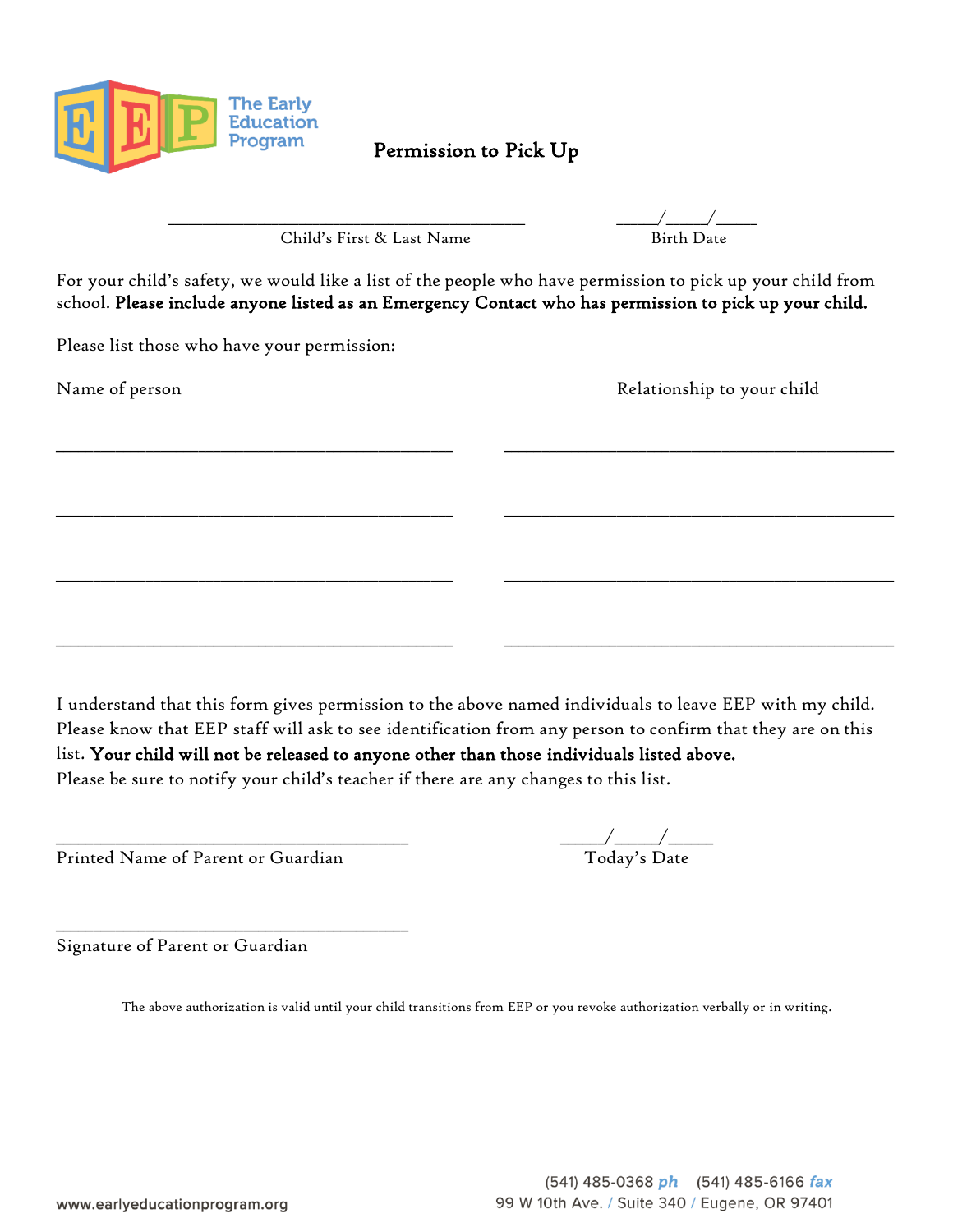

Permission to Pick Up

Child's First & Last Name Birth Date

\_\_\_\_\_\_\_\_\_\_\_\_\_\_\_\_\_\_\_\_\_\_\_\_\_\_\_\_\_\_\_\_\_\_\_\_\_\_\_\_\_\_\_\_\_\_\_\_\_\_\_\_ \_\_\_\_\_\_/\_\_\_\_\_\_/\_\_\_\_\_\_

For your child's safety, we would like a list of the people who have permission to pick up your child from school. Please include anyone listed as an Emergency Contact who has permission to pick up your child.

\_\_\_\_\_\_\_\_\_\_\_\_\_\_\_\_\_\_\_\_\_\_\_\_\_\_\_\_\_\_\_\_\_\_\_\_\_\_\_\_\_\_\_\_\_\_\_\_\_\_\_\_\_ \_\_\_\_\_\_\_\_\_\_\_\_\_\_\_\_\_\_\_\_\_\_\_\_\_\_\_\_\_\_\_\_\_\_\_\_\_\_\_\_\_\_\_\_\_\_\_\_\_\_\_\_

\_\_\_\_\_\_\_\_\_\_\_\_\_\_\_\_\_\_\_\_\_\_\_\_\_\_\_\_\_\_\_\_\_\_\_\_\_\_\_\_\_\_\_\_\_\_\_\_\_\_\_\_\_ \_\_\_\_\_\_\_\_\_\_\_\_\_\_\_\_\_\_\_\_\_\_\_\_\_\_\_\_\_\_\_\_\_\_\_\_\_\_\_\_\_\_\_\_\_\_\_\_\_\_\_\_

\_\_\_\_\_\_\_\_\_\_\_\_\_\_\_\_\_\_\_\_\_\_\_\_\_\_\_\_\_\_\_\_\_\_\_\_\_\_\_\_\_\_\_\_\_\_\_\_\_\_\_\_\_ \_\_\_\_\_\_\_\_\_\_\_\_\_\_\_\_\_\_\_\_\_\_\_\_\_\_\_\_\_\_\_\_\_\_\_\_\_\_\_\_\_\_\_\_\_\_\_\_\_\_\_\_

\_\_\_\_\_\_\_\_\_\_\_\_\_\_\_\_\_\_\_\_\_\_\_\_\_\_\_\_\_\_\_\_\_\_\_\_\_\_\_\_\_\_\_\_\_\_\_\_\_\_\_\_\_ \_\_\_\_\_\_\_\_\_\_\_\_\_\_\_\_\_\_\_\_\_\_\_\_\_\_\_\_\_\_\_\_\_\_\_\_\_\_\_\_\_\_\_\_\_\_\_\_\_\_\_\_

Please list those who have your permission:

Name of person Relationship to your child

I understand that this form gives permission to the above named individuals to leave EEP with my child. Please know that EEP staff will ask to see identification from any person to confirm that they are on this list. Your child will not be released to anyone other than those individuals listed above. Please be sure to notify your child's teacher if there are any changes to this list.

Printed Name of Parent or Guardian

\_\_\_\_\_\_\_\_\_\_\_\_\_\_\_\_\_\_\_\_\_\_\_\_\_\_\_\_\_\_\_\_\_\_\_\_\_\_\_\_\_\_\_\_\_\_\_

 $\overline{\phantom{a}}\phantom{a}T$ oday's Date

Signature of Parent or Guardian

The above authorization is valid until your child transitions from EEP or you revoke authorization verbally or in writing.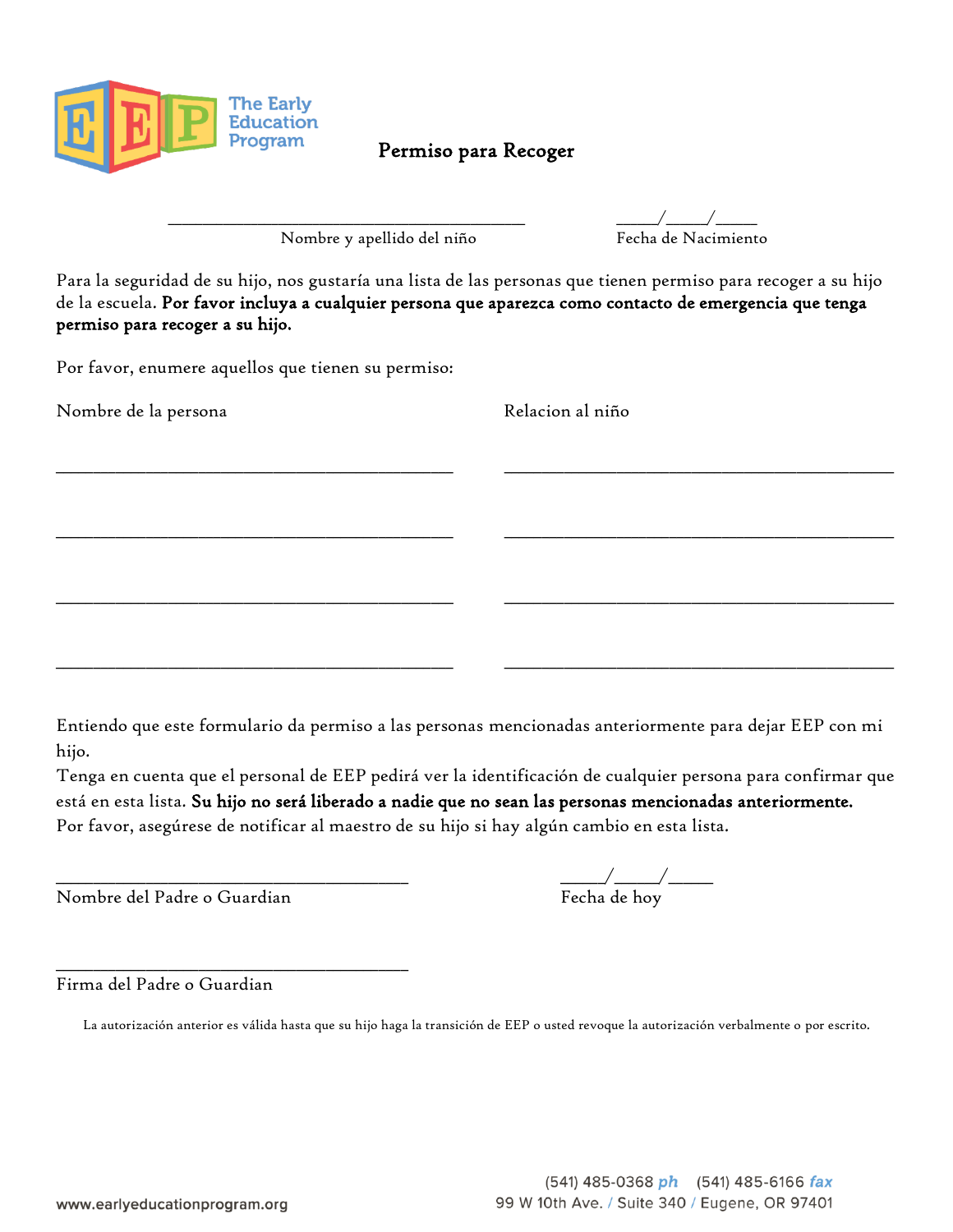

### Permiso para Recoger

Nombre y apellido del niño

 $\frac{\sqrt{1-\frac{1}{2}}}{\text{Fecha de Nacional}}$ 

Para la seguridad de su hijo, nos gustaría una lista de las personas que tienen permiso para recoger a su hijo de la escuela. Por favor incluya a cualquier persona que aparezca como contacto de emergencia que tenga permiso para recoger a su hijo.

\_\_\_\_\_\_\_\_\_\_\_\_\_\_\_\_\_\_\_\_\_\_\_\_\_\_\_\_\_\_\_\_\_\_\_\_\_\_\_\_\_\_\_\_\_\_\_\_\_\_\_\_\_ \_\_\_\_\_\_\_\_\_\_\_\_\_\_\_\_\_\_\_\_\_\_\_\_\_\_\_\_\_\_\_\_\_\_\_\_\_\_\_\_\_\_\_\_\_\_\_\_\_\_\_\_

\_\_\_\_\_\_\_\_\_\_\_\_\_\_\_\_\_\_\_\_\_\_\_\_\_\_\_\_\_\_\_\_\_\_\_\_\_\_\_\_\_\_\_\_\_\_\_\_\_\_\_\_\_ \_\_\_\_\_\_\_\_\_\_\_\_\_\_\_\_\_\_\_\_\_\_\_\_\_\_\_\_\_\_\_\_\_\_\_\_\_\_\_\_\_\_\_\_\_\_\_\_\_\_\_\_

\_\_\_\_\_\_\_\_\_\_\_\_\_\_\_\_\_\_\_\_\_\_\_\_\_\_\_\_\_\_\_\_\_\_\_\_\_\_\_\_\_\_\_\_\_\_\_\_\_\_\_\_\_ \_\_\_\_\_\_\_\_\_\_\_\_\_\_\_\_\_\_\_\_\_\_\_\_\_\_\_\_\_\_\_\_\_\_\_\_\_\_\_\_\_\_\_\_\_\_\_\_\_\_\_\_

\_\_\_\_\_\_\_\_\_\_\_\_\_\_\_\_\_\_\_\_\_\_\_\_\_\_\_\_\_\_\_\_\_\_\_\_\_\_\_\_\_\_\_\_\_\_\_\_\_\_\_\_\_ \_\_\_\_\_\_\_\_\_\_\_\_\_\_\_\_\_\_\_\_\_\_\_\_\_\_\_\_\_\_\_\_\_\_\_\_\_\_\_\_\_\_\_\_\_\_\_\_\_\_\_\_

Por favor, enumere aquellos que tienen su permiso:

Nombre de la persona de la persona de la persona de la persona de la persona de la persona de la persona de la

Entiendo que este formulario da permiso a las personas mencionadas anteriormente para dejar EEP con mi hijo.

Tenga en cuenta que el personal de EEP pedirá ver la identificación de cualquier persona para confirmar que está en esta lista. Su hijo no será liberado a nadie que no sean las personas mencionadas anteriormente. Por favor, asegúrese de notificar al maestro de su hijo si hay algún cambio en esta lista.

Nombre del Padre o Guardian

\_\_\_\_\_\_\_\_\_\_\_\_\_\_\_\_\_\_\_\_\_\_\_\_\_\_\_\_\_\_\_\_\_\_\_\_\_\_\_\_\_\_\_\_\_\_\_

 $\frac{\sqrt{1-\frac{1}{2}}}{\text{Fecha de hoy}}$ 

Firma del Padre o Guardian

La autorización anterior es válida hasta que su hijo haga la transición de EEP o usted revoque la autorización verbalmente o por escrito.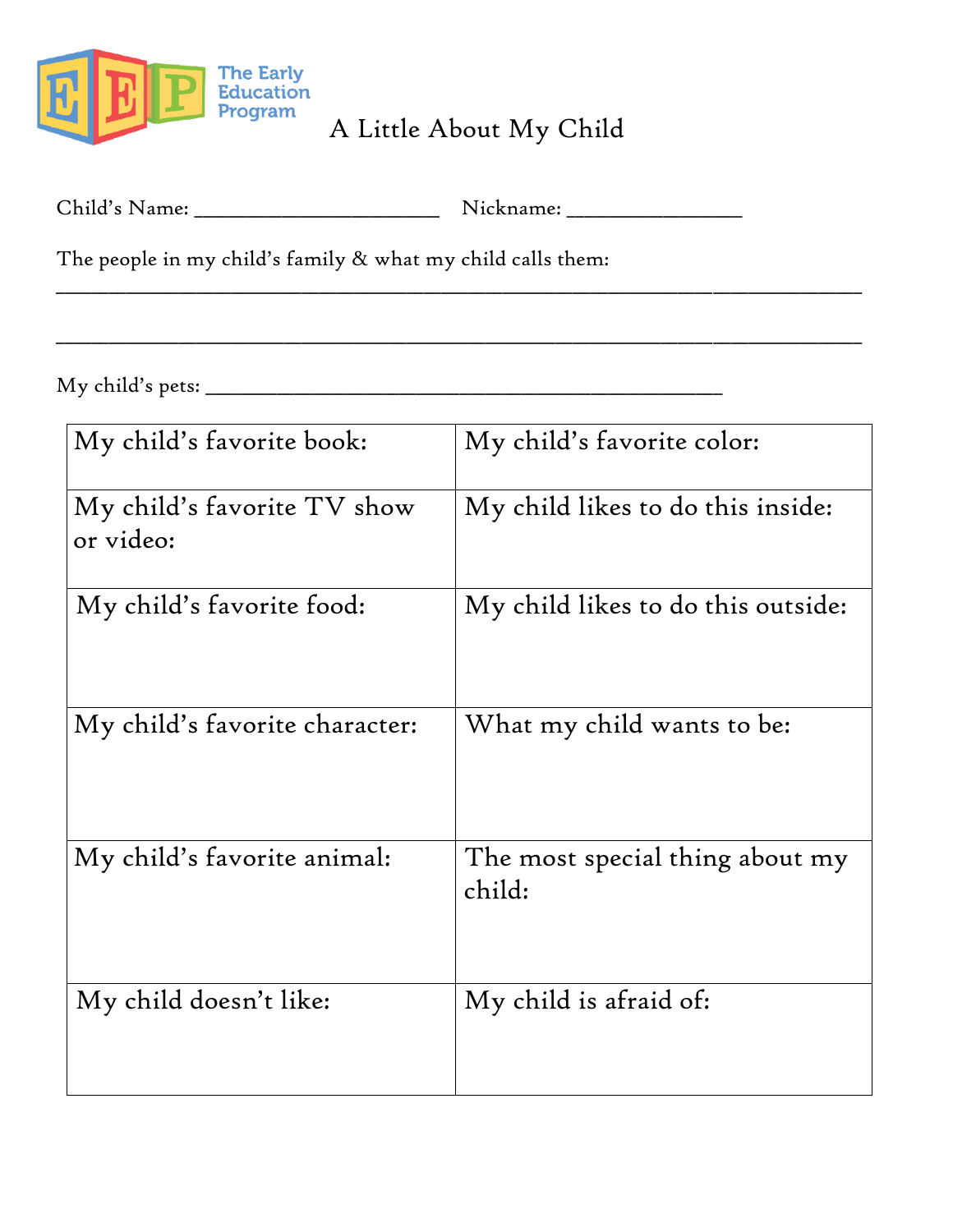

A Little About My Child

\_\_\_\_\_\_\_\_\_\_\_\_\_\_\_\_\_\_\_\_\_\_\_\_\_\_\_\_\_\_\_\_\_\_\_\_\_\_\_\_\_\_\_\_\_\_\_\_\_\_\_\_\_\_\_\_\_\_\_\_\_\_\_\_\_\_\_\_\_\_\_\_\_\_\_\_\_\_\_\_\_\_\_\_\_\_\_\_\_\_\_\_

\_\_\_\_\_\_\_\_\_\_\_\_\_\_\_\_\_\_\_\_\_\_\_\_\_\_\_\_\_\_\_\_\_\_\_\_\_\_\_\_\_\_\_\_\_\_\_\_\_\_\_\_\_\_\_\_\_\_\_\_\_\_\_\_\_\_\_\_\_\_\_\_\_\_\_\_\_\_\_\_\_\_\_\_\_\_\_\_\_\_\_\_

| Child's Name: |  | Nickname: |
|---------------|--|-----------|
|---------------|--|-----------|

The people in my child's family & what my child calls them:

My child's pets: \_\_\_\_\_\_\_\_\_\_\_\_\_\_\_\_\_\_\_\_\_\_\_\_\_\_\_\_\_\_\_\_\_\_\_\_\_\_\_\_\_\_\_\_\_\_\_\_\_\_\_\_\_\_\_\_\_\_\_

| My child's favorite book:                | My child's favorite color:                |
|------------------------------------------|-------------------------------------------|
| My child's favorite TV show<br>or video: | My child likes to do this inside:         |
| My child's favorite food:                | My child likes to do this outside:        |
| My child's favorite character:           | What my child wants to be:                |
| My child's favorite animal:              | The most special thing about my<br>child: |
| My child doesn't like:                   | My child is afraid of:                    |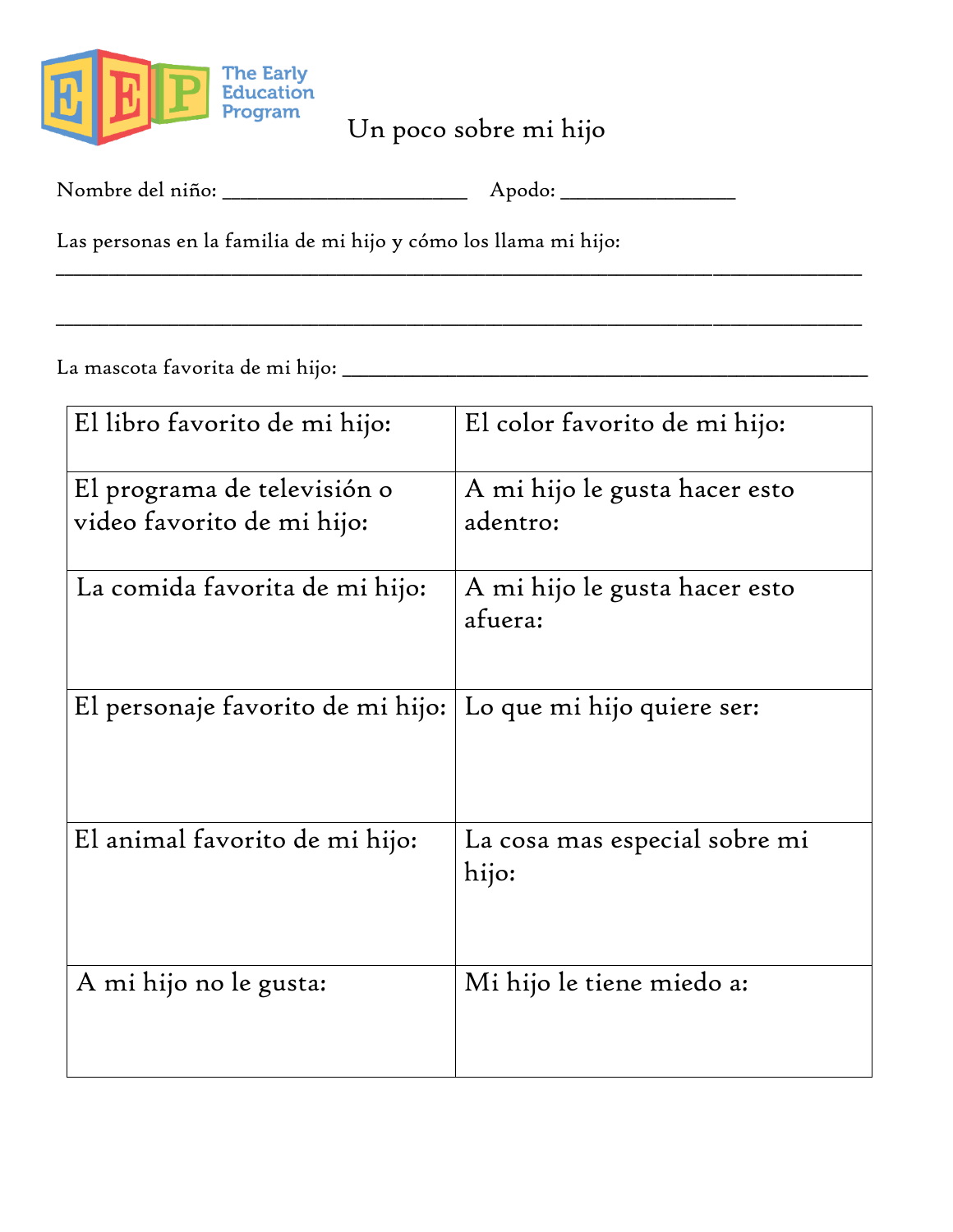

Un poco sobre mi hijo

\_\_\_\_\_\_\_\_\_\_\_\_\_\_\_\_\_\_\_\_\_\_\_\_\_\_\_\_\_\_\_\_\_\_\_\_\_\_\_\_\_\_\_\_\_\_\_\_\_\_\_\_\_\_\_\_\_\_\_\_\_\_\_\_\_\_\_\_\_\_\_\_\_\_\_\_\_\_\_\_\_\_\_\_\_\_\_\_\_\_\_\_

\_\_\_\_\_\_\_\_\_\_\_\_\_\_\_\_\_\_\_\_\_\_\_\_\_\_\_\_\_\_\_\_\_\_\_\_\_\_\_\_\_\_\_\_\_\_\_\_\_\_\_\_\_\_\_\_\_\_\_\_\_\_\_\_\_\_\_\_\_\_\_\_\_\_\_\_\_\_\_\_\_\_\_\_\_\_\_\_\_\_\_\_

| Nombre del niño: |  |
|------------------|--|
|------------------|--|

Las personas en la familia de mi hijo y cómo los llama mi hijo:

La mascota favorita de mi hijo: \_\_\_\_\_\_\_\_\_\_\_\_\_\_\_\_\_\_\_\_\_\_\_\_\_\_\_\_\_\_\_\_\_\_\_\_\_\_\_\_\_\_\_\_\_\_\_\_\_\_\_\_\_\_\_\_\_\_\_\_

| El libro favorito de mi hijo:     | El color favorito de mi hijo:            |
|-----------------------------------|------------------------------------------|
| El programa de televisión o       | A mi hijo le gusta hacer esto            |
| video favorito de mi hijo:        | adentro:                                 |
|                                   |                                          |
| La comida favorita de mi hijo:    | A mi hijo le gusta hacer esto<br>afuera: |
| El personaje favorito de mi hijo: | Lo que mi hijo quiere ser:               |
| El animal favorito de mi hijo:    | La cosa mas especial sobre mi<br>hijo:   |
| A mi hijo no le gusta:            | Mi hijo le tiene miedo a:                |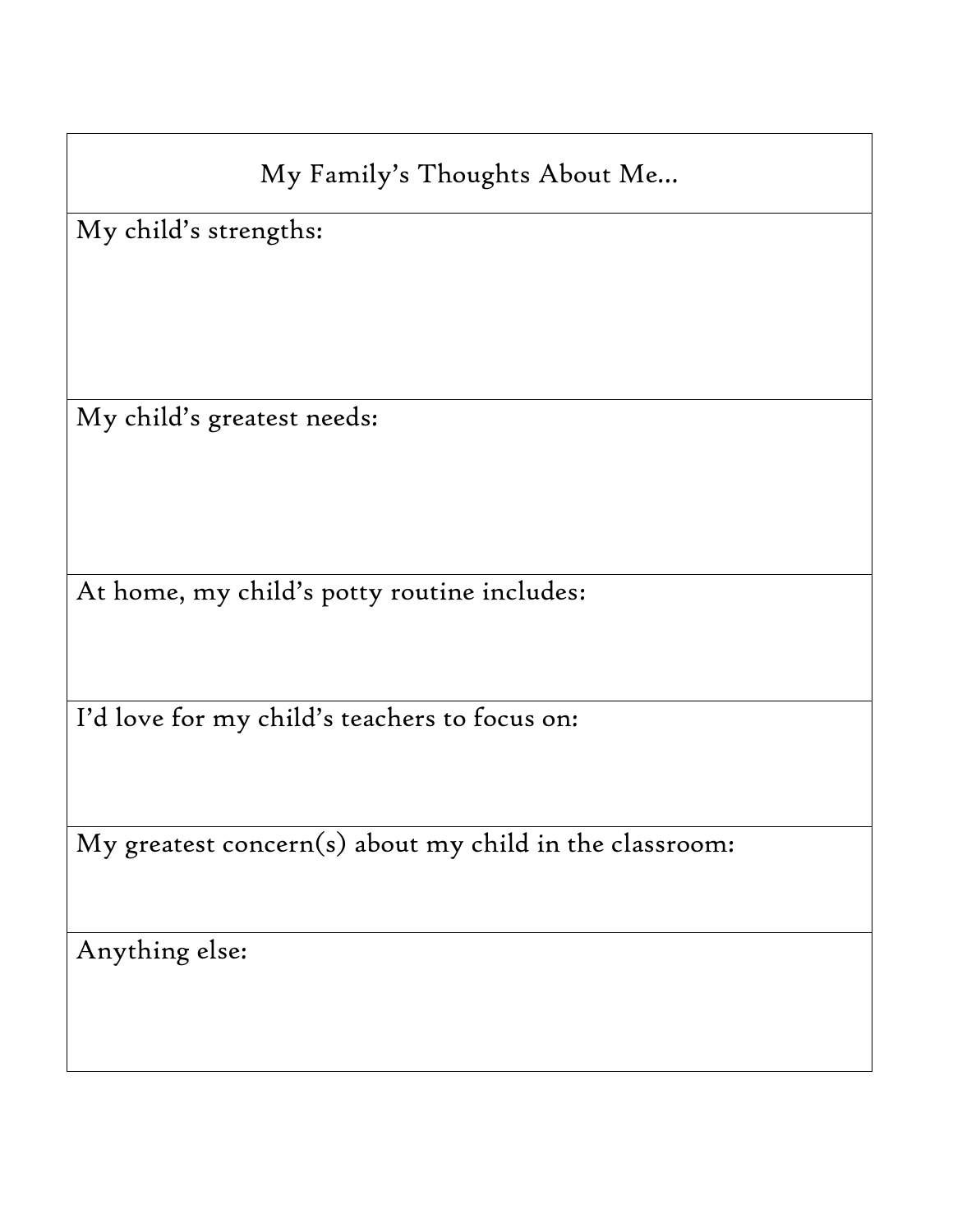My Family's Thoughts About Me…

My child's strengths:

My child's greatest needs:

At home, my child's potty routine includes:

I'd love for my child's teachers to focus on:

My greatest concern(s) about my child in the classroom:

Anything else: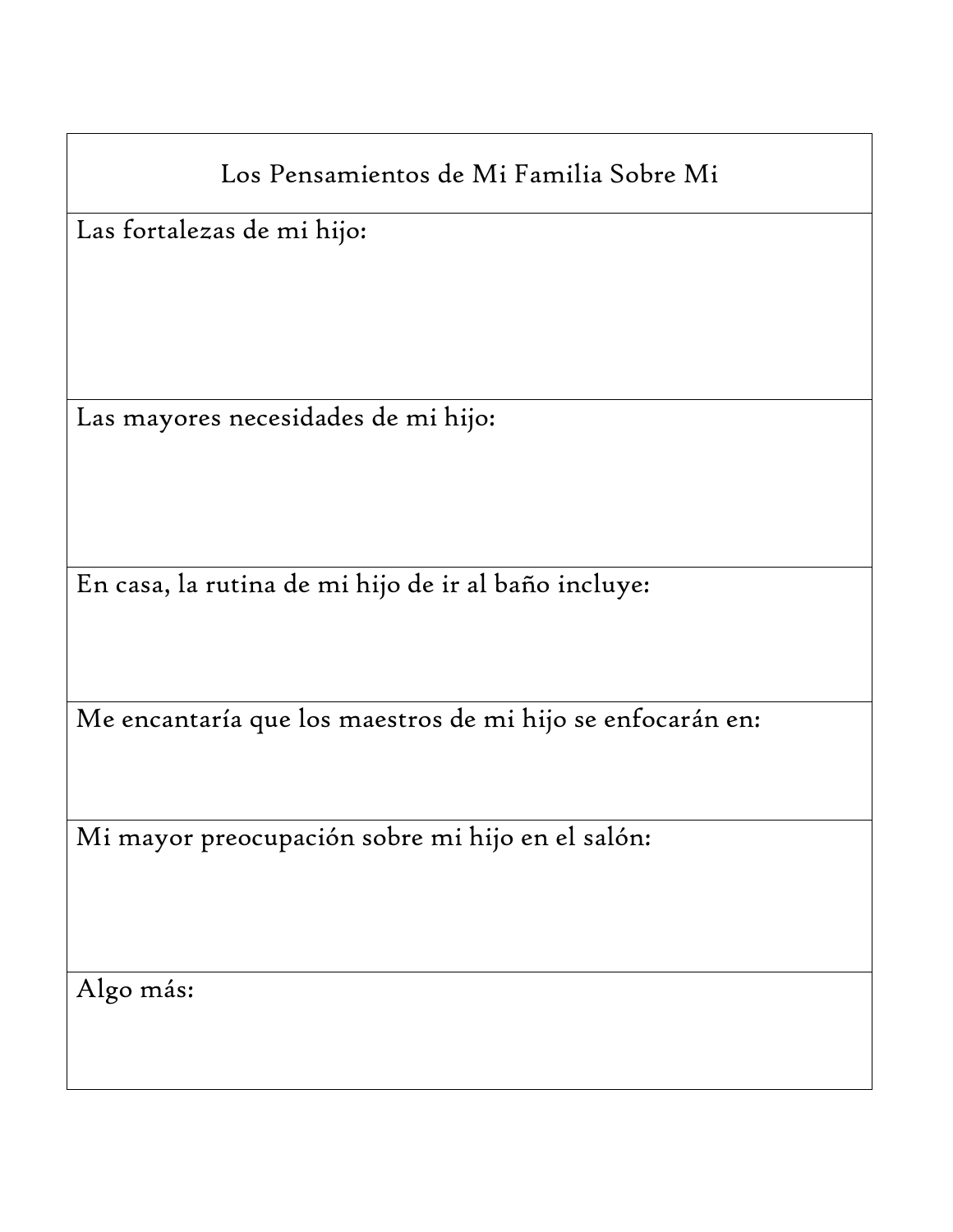Las fortalezas de mi hijo:

Las mayores necesidades de mi hijo:

En casa, la rutina de mi hijo de ir al baño incluye:

Me encantaría que los maestros de mi hijo se enfocarán en:

Mi mayor preocupación sobre mi hijo en el salón:

Algo más: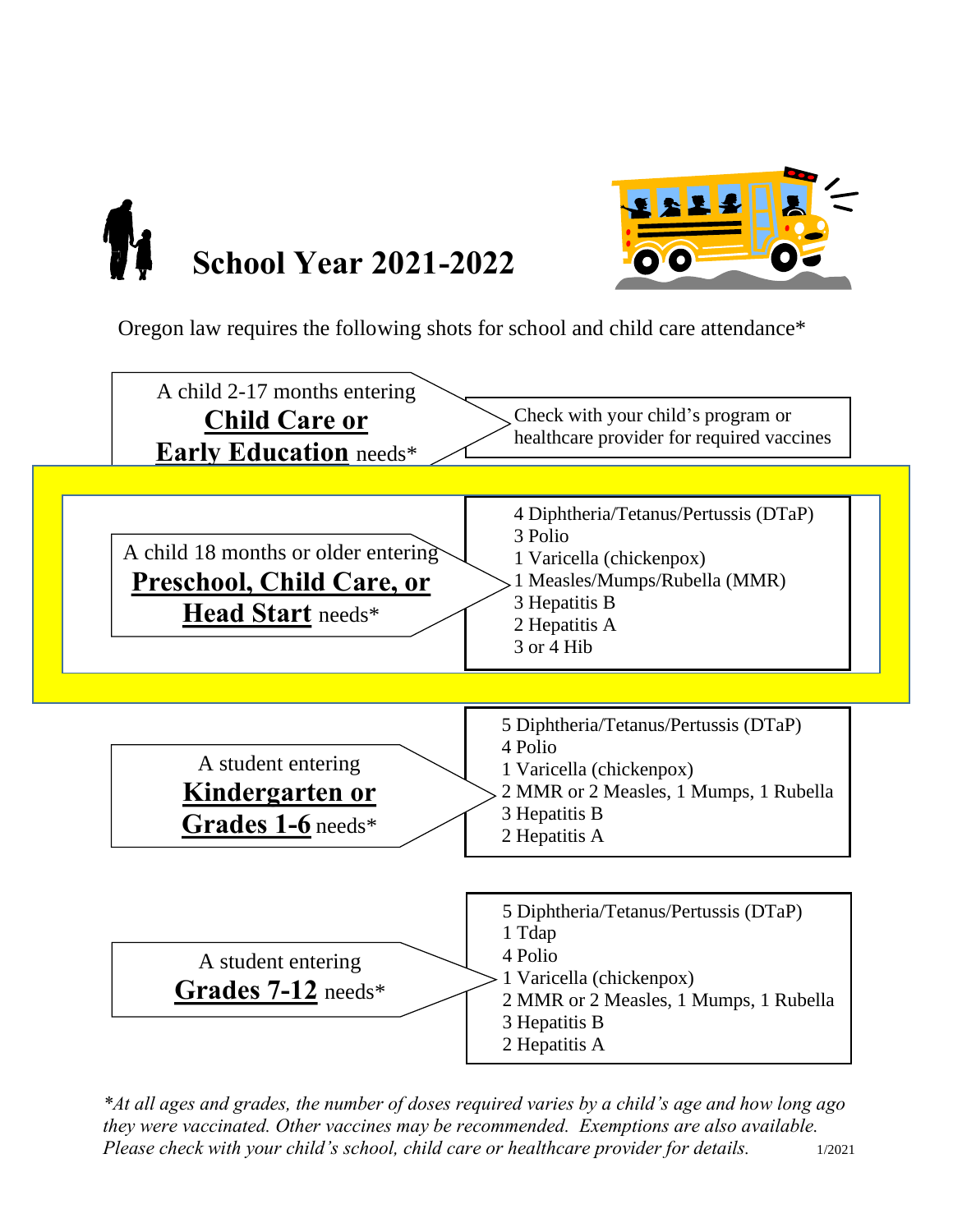



Oregon law requires the following shots for school and child care attendance\*



*\*At all ages and grades, the number of doses required varies by a child's age and how long ago they were vaccinated. Other vaccines may be recommended. Exemptions are also available. Please check with your child's school, child care or healthcare provider for details.* 1/2021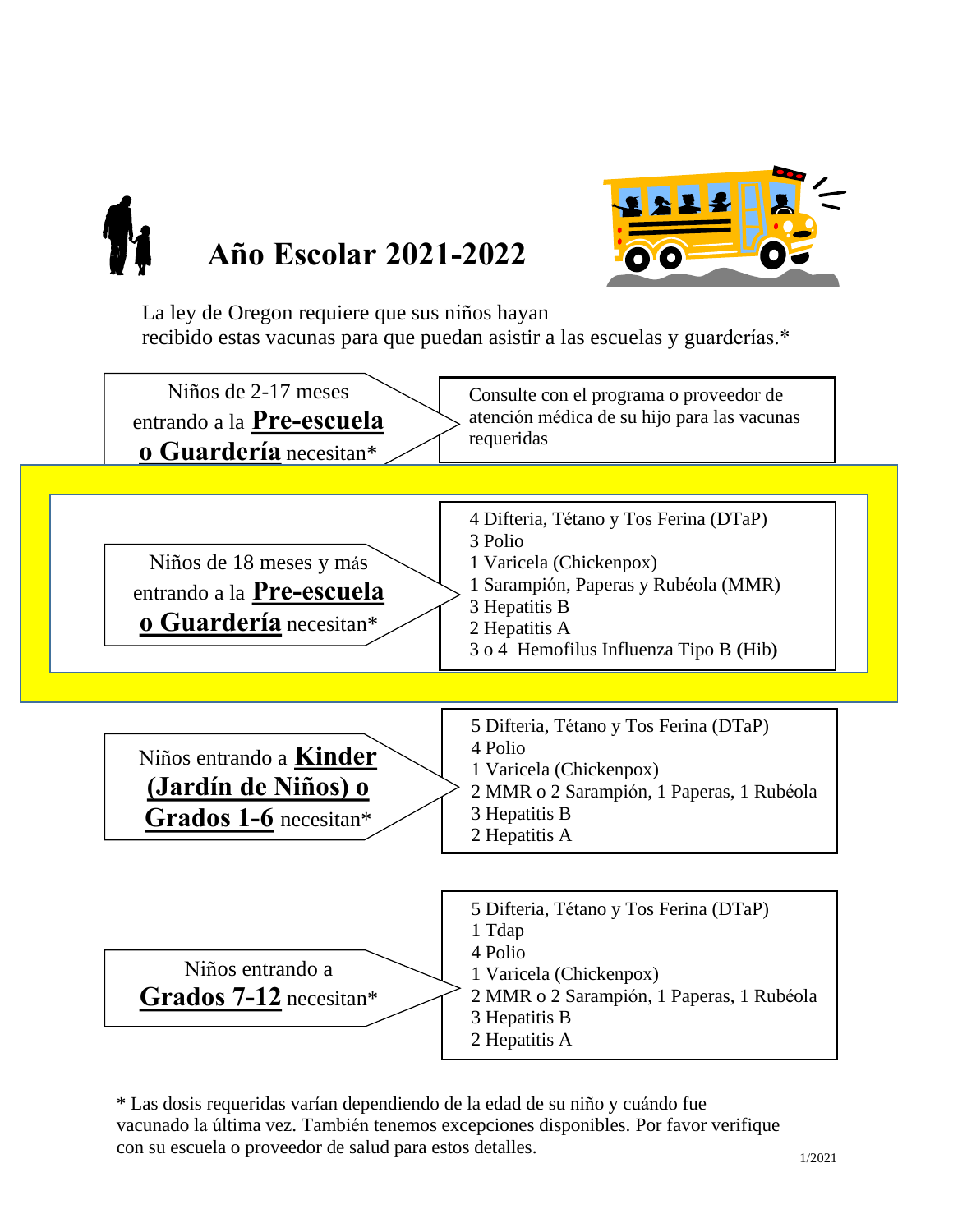



La ley de Oregon requiere que sus niños hayan recibido estas vacunas para que puedan asistir a las escuelas y guarderías.\*



\* Las dosis requeridas varían dependiendo de la edad de su niño y cuándo fue vacunado la última vez. También tenemos excepciones disponibles. Por favor verifique con su escuela o proveedor de salud para estos detalles.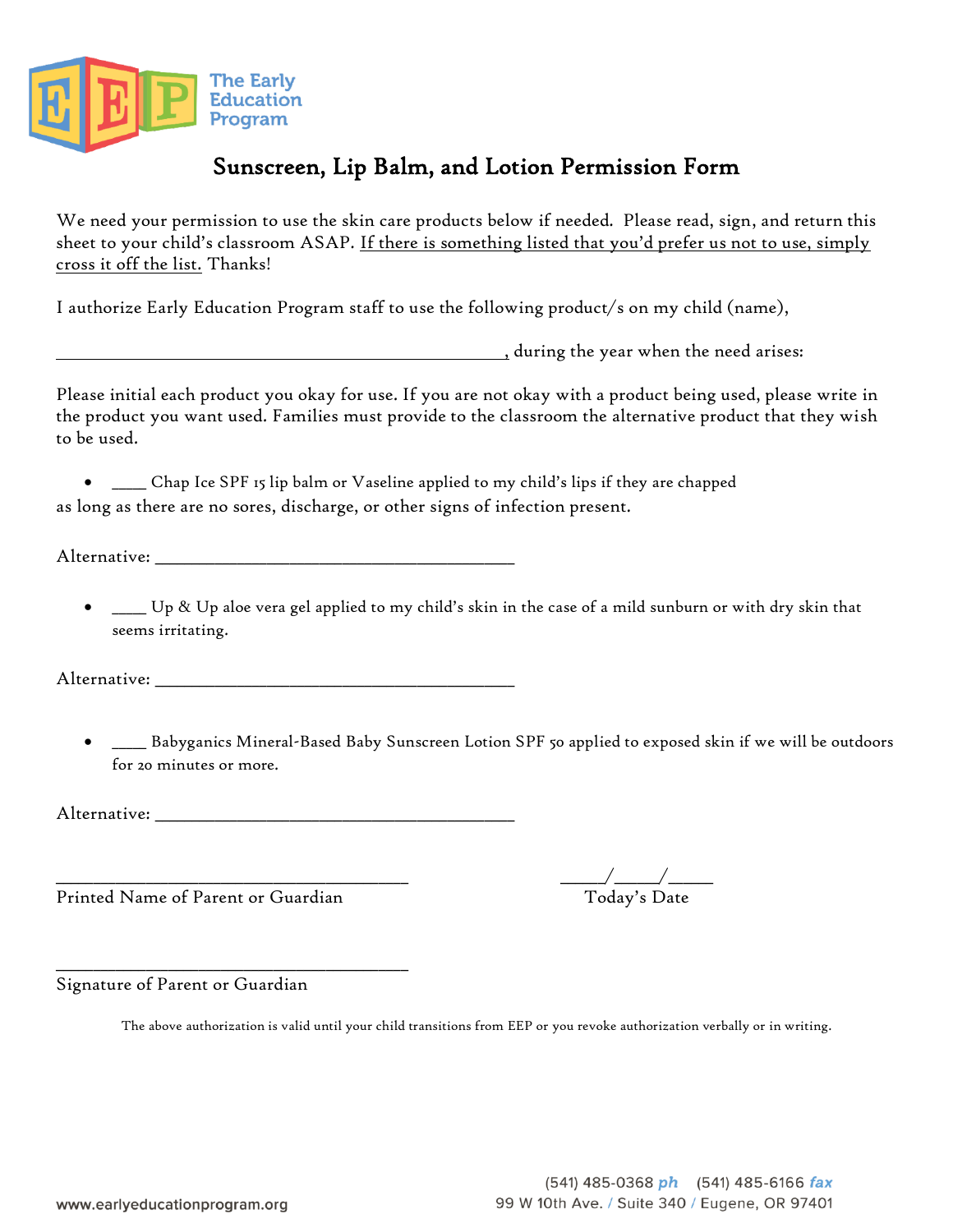

# Sunscreen, Lip Balm, and Lotion Permission Form

We need your permission to use the skin care products below if needed. Please read, sign, and return this sheet to your child's classroom ASAP. If there is something listed that you'd prefer us not to use, simply cross it off the list. Thanks!

I authorize Early Education Program staff to use the following product/s on my child (name),

, during the year when the need arises:

Please initial each product you okay for use. If you are not okay with a product being used, please write in the product you want used. Families must provide to the classroom the alternative product that they wish to be used.

• \_\_\_\_\_ Chap Ice SPF 15 lip balm or Vaseline applied to my child's lips if they are chapped as long as there are no sores, discharge, or other signs of infection present.

Alternative: \_\_\_\_\_\_\_\_\_\_\_\_\_\_\_\_\_\_\_\_\_\_\_\_\_\_\_\_\_\_\_\_\_\_\_\_\_\_\_\_\_\_\_\_\_\_\_\_

• \_\_\_\_\_ Up & Up aloe vera gel applied to my child's skin in the case of a mild sunburn or with dry skin that seems irritating.

Alternative: \_\_\_\_\_\_\_\_\_\_\_\_\_\_\_\_\_\_\_\_\_\_\_\_\_\_\_\_\_\_\_\_\_\_\_\_\_\_\_\_\_\_\_\_\_\_\_\_

• \_\_\_\_\_ Babyganics Mineral-Based Baby Sunscreen Lotion SPF 50 applied to exposed skin if we will be outdoors for 20 minutes or more.

Alternative: \_\_\_\_\_\_\_\_\_\_\_\_\_\_\_\_\_\_\_\_\_\_\_\_\_\_\_\_\_\_\_\_\_\_\_\_\_\_\_\_\_\_\_\_\_\_\_\_

Printed Name of Parent or Guardian

\_\_\_\_\_\_\_\_\_\_\_\_\_\_\_\_\_\_\_\_\_\_\_\_\_\_\_\_\_\_\_\_\_\_\_\_\_\_\_\_\_\_\_\_\_\_\_

 $\frac{\Delta}{\Delta}$  Today's Date

Signature of Parent or Guardian

The above authorization is valid until your child transitions from EEP or you revoke authorization verbally or in writing.